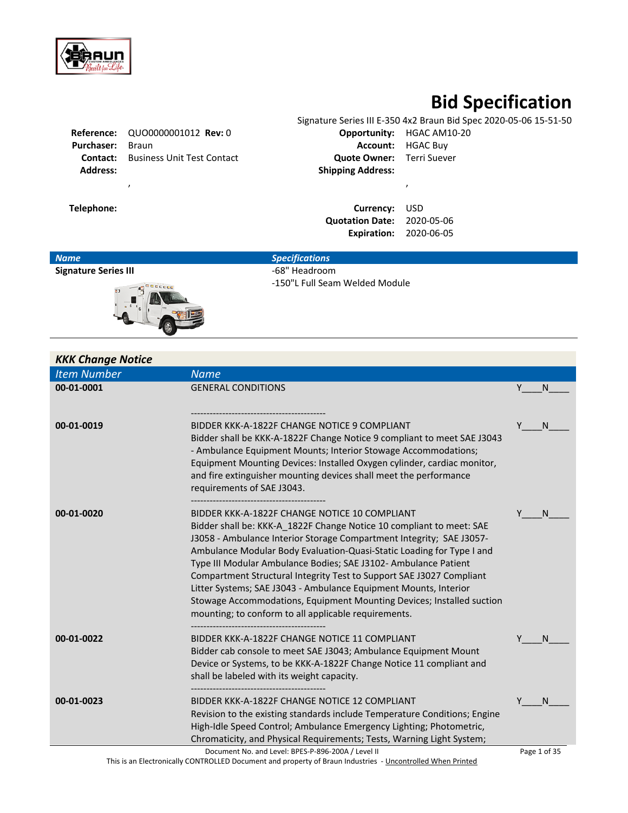

# **Bid Specification**

|                   | Reference: QUO0000001012 Rev: 0 | Opportunity:             |  |
|-------------------|---------------------------------|--------------------------|--|
| <b>Purchaser:</b> | Braun                           | Account: I               |  |
| Contact:          | Business Unit Test Contact      | <b>Quote Owner:</b>      |  |
| <b>Address:</b>   |                                 | <b>Shipping Address:</b> |  |
|                   |                                 |                          |  |

Signature Series III E-350 4x2 Braun Bid Spec 2020-05-06 15-51-50 **Reportunity:** HGAC AM10-20 **Account:** HGAC Buy **Quote Owner:** Terri Suever **Address: Shipping Address:**

**Telephone: Currency:** USD **Quotation Date:** 2020-05-06 **Expiration:** 2020-06-05

| <b>Name</b>                 | <b>Specifications</b>          |
|-----------------------------|--------------------------------|
| <b>Signature Series III</b> | -68" Headroom                  |
| 'nО<br>a <sup>0</sup>       | -150"L Full Seam Welded Module |

| <b>KKK Change Notice</b> |                                                                                                                                               |              |
|--------------------------|-----------------------------------------------------------------------------------------------------------------------------------------------|--------------|
| <b>Item Number</b>       | <b>Name</b>                                                                                                                                   |              |
| 00-01-0001               | <b>GENERAL CONDITIONS</b>                                                                                                                     | Υ<br>N       |
|                          |                                                                                                                                               |              |
| 00-01-0019               | BIDDER KKK-A-1822F CHANGE NOTICE 9 COMPLIANT                                                                                                  | Υ<br>N       |
|                          | Bidder shall be KKK-A-1822F Change Notice 9 compliant to meet SAE J3043                                                                       |              |
|                          | - Ambulance Equipment Mounts; Interior Stowage Accommodations;<br>Equipment Mounting Devices: Installed Oxygen cylinder, cardiac monitor,     |              |
|                          | and fire extinguisher mounting devices shall meet the performance                                                                             |              |
|                          | requirements of SAE J3043.                                                                                                                    |              |
| 00-01-0020               | BIDDER KKK-A-1822F CHANGE NOTICE 10 COMPLIANT                                                                                                 | Y<br>N       |
|                          | Bidder shall be: KKK-A 1822F Change Notice 10 compliant to meet: SAE                                                                          |              |
|                          | J3058 - Ambulance Interior Storage Compartment Integrity; SAE J3057-<br>Ambulance Modular Body Evaluation-Quasi-Static Loading for Type I and |              |
|                          | Type III Modular Ambulance Bodies; SAE J3102- Ambulance Patient                                                                               |              |
|                          | Compartment Structural Integrity Test to Support SAE J3027 Compliant                                                                          |              |
|                          | Litter Systems; SAE J3043 - Ambulance Equipment Mounts, Interior<br>Stowage Accommodations, Equipment Mounting Devices; Installed suction     |              |
|                          | mounting; to conform to all applicable requirements.                                                                                          |              |
| 00-01-0022               | BIDDER KKK-A-1822F CHANGE NOTICE 11 COMPLIANT                                                                                                 | N            |
|                          | Bidder cab console to meet SAE J3043; Ambulance Equipment Mount                                                                               |              |
|                          | Device or Systems, to be KKK-A-1822F Change Notice 11 compliant and                                                                           |              |
|                          | shall be labeled with its weight capacity.                                                                                                    |              |
| 00-01-0023               | BIDDER KKK-A-1822F CHANGE NOTICE 12 COMPLIANT                                                                                                 | Υ<br>N       |
|                          | Revision to the existing standards include Temperature Conditions; Engine                                                                     |              |
|                          | High-Idle Speed Control; Ambulance Emergency Lighting; Photometric,                                                                           |              |
|                          | Chromaticity, and Physical Requirements; Tests, Warning Light System;<br>Document No. and Level: BPES-P-896-200A / Level II                   | Page 1 of 35 |

This is an Electronically CONTROLLED Document and property of Braun Industries - Uncontrolled When Printed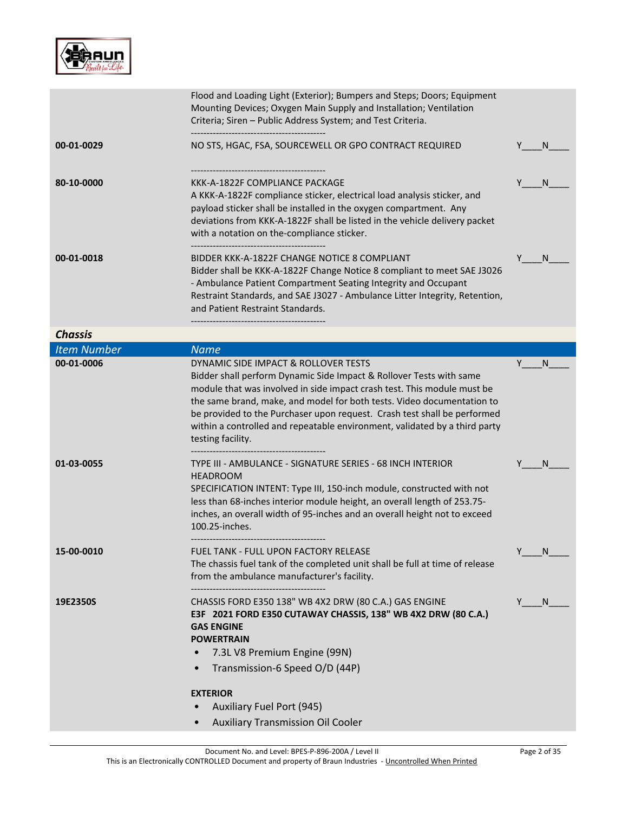

|                    | Flood and Loading Light (Exterior); Bumpers and Steps; Doors; Equipment<br>Mounting Devices; Oxygen Main Supply and Installation; Ventilation<br>Criteria; Siren - Public Address System; and Test Criteria.                                                                                                                                                                                                                                    |                   |
|--------------------|-------------------------------------------------------------------------------------------------------------------------------------------------------------------------------------------------------------------------------------------------------------------------------------------------------------------------------------------------------------------------------------------------------------------------------------------------|-------------------|
| 00-01-0029         | NO STS, HGAC, FSA, SOURCEWELL OR GPO CONTRACT REQUIRED                                                                                                                                                                                                                                                                                                                                                                                          | N.<br>Y           |
| 80-10-0000         | KKK-A-1822F COMPLIANCE PACKAGE<br>A KKK-A-1822F compliance sticker, electrical load analysis sticker, and<br>payload sticker shall be installed in the oxygen compartment. Any<br>deviations from KKK-A-1822F shall be listed in the vehicle delivery packet<br>with a notation on the-compliance sticker.<br>-----------------------------------                                                                                               | N                 |
| 00-01-0018         | BIDDER KKK-A-1822F CHANGE NOTICE 8 COMPLIANT<br>Bidder shall be KKK-A-1822F Change Notice 8 compliant to meet SAE J3026<br>- Ambulance Patient Compartment Seating Integrity and Occupant<br>Restraint Standards, and SAE J3027 - Ambulance Litter Integrity, Retention,<br>and Patient Restraint Standards.                                                                                                                                    | N                 |
| <b>Chassis</b>     |                                                                                                                                                                                                                                                                                                                                                                                                                                                 |                   |
| <b>Item Number</b> | <b>Name</b>                                                                                                                                                                                                                                                                                                                                                                                                                                     |                   |
| 00-01-0006         | DYNAMIC SIDE IMPACT & ROLLOVER TESTS<br>Bidder shall perform Dynamic Side Impact & Rollover Tests with same<br>module that was involved in side impact crash test. This module must be<br>the same brand, make, and model for both tests. Video documentation to<br>be provided to the Purchaser upon request. Crash test shall be performed<br>within a controlled and repeatable environment, validated by a third party<br>testing facility. | Y<br><sub>N</sub> |
| 01-03-0055         | TYPE III - AMBULANCE - SIGNATURE SERIES - 68 INCH INTERIOR<br><b>HEADROOM</b><br>SPECIFICATION INTENT: Type III, 150-inch module, constructed with not<br>less than 68-inches interior module height, an overall length of 253.75-<br>inches, an overall width of 95-inches and an overall height not to exceed<br>100.25-inches.                                                                                                               | N                 |
| 15-00-0010         | <b>FUEL TANK - FULL UPON FACTORY RELEASE</b><br>The chassis fuel tank of the completed unit shall be full at time of release<br>from the ambulance manufacturer's facility.                                                                                                                                                                                                                                                                     | N                 |
| 19E2350S           | CHASSIS FORD E350 138" WB 4X2 DRW (80 C.A.) GAS ENGINE<br>E3F 2021 FORD E350 CUTAWAY CHASSIS, 138" WB 4X2 DRW (80 C.A.)<br><b>GAS ENGINE</b><br><b>POWERTRAIN</b><br>7.3L V8 Premium Engine (99N)<br>$\bullet$<br>Transmission-6 Speed O/D (44P)<br><b>EXTERIOR</b>                                                                                                                                                                             | Y<br>N.           |
|                    | <b>Auxiliary Fuel Port (945)</b>                                                                                                                                                                                                                                                                                                                                                                                                                |                   |
|                    | <b>Auxiliary Transmission Oil Cooler</b>                                                                                                                                                                                                                                                                                                                                                                                                        |                   |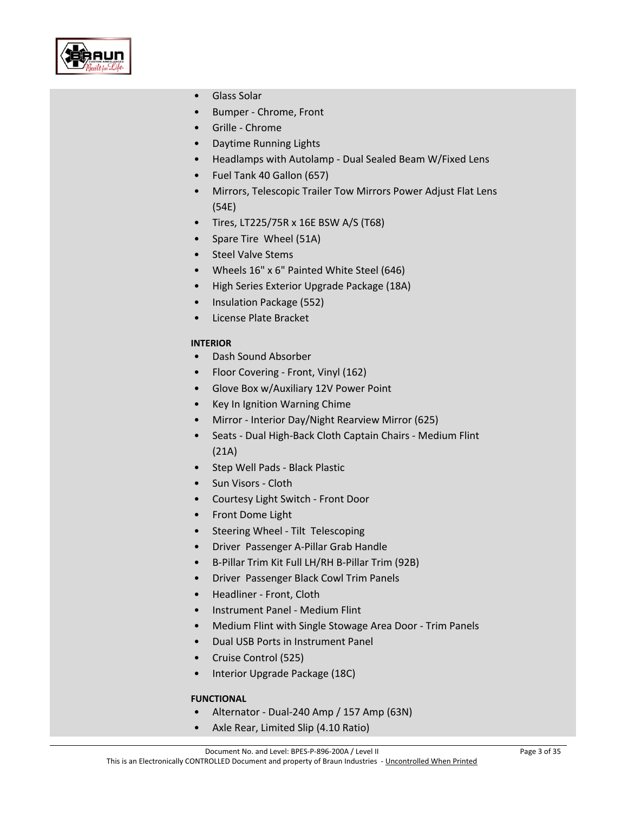

- Glass Solar
- Bumper Chrome, Front
- Grille Chrome
- Daytime Running Lights
- Headlamps with Autolamp Dual Sealed Beam W/Fixed Lens
- Fuel Tank 40 Gallon (657)
- Mirrors, Telescopic Trailer Tow Mirrors Power Adjust Flat Lens (54E)
- Tires, LT225/75R x 16E BSW A/S (T68)
- Spare Tire Wheel (51A)
- Steel Valve Stems
- Wheels 16" x 6" Painted White Steel (646)
- High Series Exterior Upgrade Package (18A)
- Insulation Package (552)
- License Plate Bracket

# **INTERIOR**

- Dash Sound Absorber
- Floor Covering Front, Vinyl (162)
- Glove Box w/Auxiliary 12V Power Point
- Key In Ignition Warning Chime
- Mirror Interior Day/Night Rearview Mirror (625)
- Seats Dual High-Back Cloth Captain Chairs Medium Flint (21A)
- Step Well Pads Black Plastic
- Sun Visors Cloth
- Courtesy Light Switch Front Door
- Front Dome Light
- Steering Wheel Tilt Telescoping
- Driver Passenger A-Pillar Grab Handle
- B-Pillar Trim Kit Full LH/RH B-Pillar Trim (92B)
- Driver Passenger Black Cowl Trim Panels
- Headliner Front, Cloth
- Instrument Panel Medium Flint
- Medium Flint with Single Stowage Area Door Trim Panels
- Dual USB Ports in Instrument Panel
- Cruise Control (525)
- Interior Upgrade Package (18C)

# **FUNCTIONAL**

- Alternator Dual-240 Amp / 157 Amp (63N)
- Axle Rear, Limited Slip (4.10 Ratio)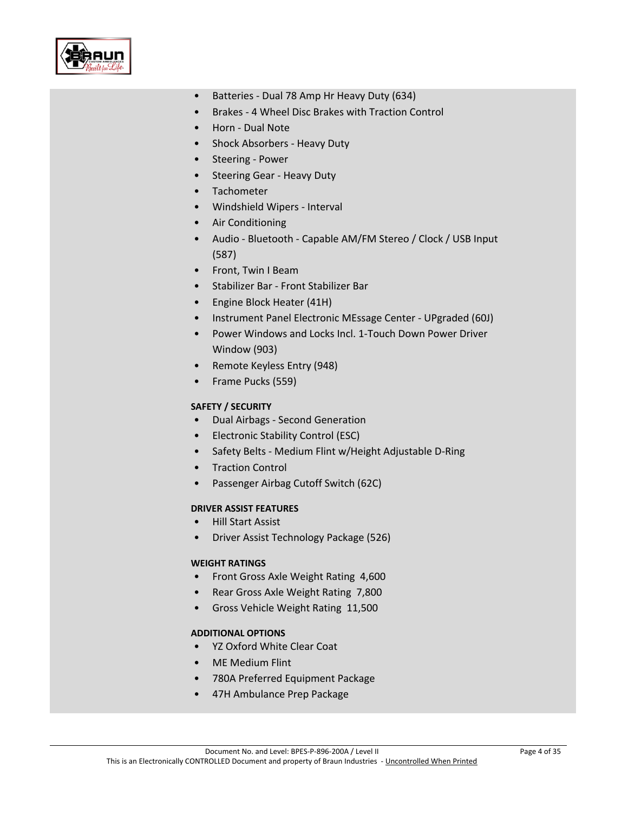

- Batteries Dual 78 Amp Hr Heavy Duty (634)
- Brakes 4 Wheel Disc Brakes with Traction Control
- Horn Dual Note
- Shock Absorbers Heavy Duty
- Steering Power
- Steering Gear Heavy Duty
- Tachometer
- Windshield Wipers Interval
- Air Conditioning
- Audio Bluetooth Capable AM/FM Stereo / Clock / USB Input (587)
- Front, Twin I Beam
- Stabilizer Bar Front Stabilizer Bar
- Engine Block Heater (41H)
- Instrument Panel Electronic MEssage Center UPgraded (60J)
- Power Windows and Locks Incl. 1-Touch Down Power Driver Window (903)
- Remote Keyless Entry (948)
- Frame Pucks (559)

# **SAFETY / SECURITY**

- Dual Airbags Second Generation
- Electronic Stability Control (ESC)
- Safety Belts Medium Flint w/Height Adjustable D-Ring
- Traction Control
- Passenger Airbag Cutoff Switch (62C)

# **DRIVER ASSIST FEATURES**

- Hill Start Assist
- Driver Assist Technology Package (526)

# **WEIGHT RATINGS**

- Front Gross Axle Weight Rating 4,600
- Rear Gross Axle Weight Rating 7,800
- Gross Vehicle Weight Rating 11,500

# **ADDITIONAL OPTIONS**

- YZ Oxford White Clear Coat
- ME Medium Flint
- 780A Preferred Equipment Package
- 47H Ambulance Prep Package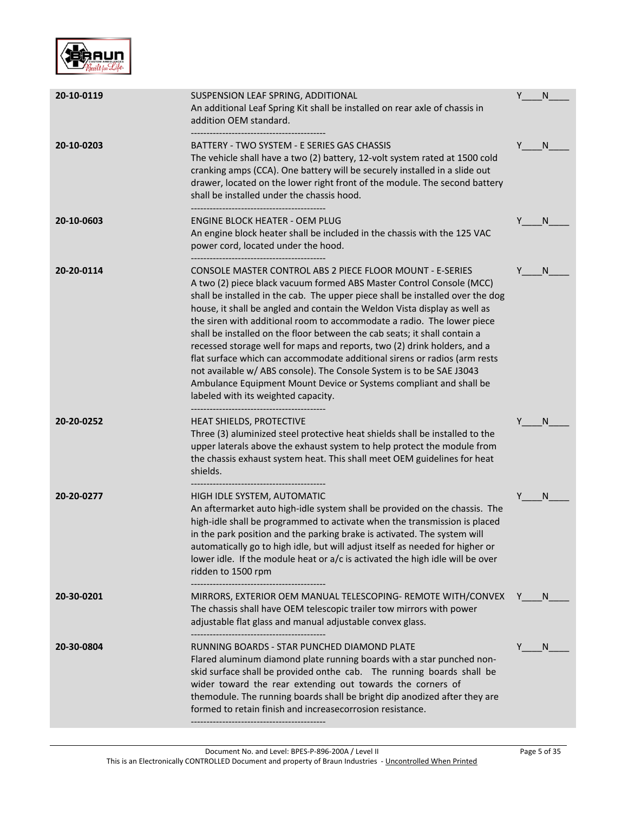

| 20-10-0119 | SUSPENSION LEAF SPRING, ADDITIONAL<br>An additional Leaf Spring Kit shall be installed on rear axle of chassis in<br>addition OEM standard.                                                                                                                                                                                                                                                                                                                                                                                                                                                                                                                                                                                                                                                           | Y | N            |
|------------|-------------------------------------------------------------------------------------------------------------------------------------------------------------------------------------------------------------------------------------------------------------------------------------------------------------------------------------------------------------------------------------------------------------------------------------------------------------------------------------------------------------------------------------------------------------------------------------------------------------------------------------------------------------------------------------------------------------------------------------------------------------------------------------------------------|---|--------------|
| 20-10-0203 | BATTERY - TWO SYSTEM - E SERIES GAS CHASSIS<br>The vehicle shall have a two (2) battery, 12-volt system rated at 1500 cold<br>cranking amps (CCA). One battery will be securely installed in a slide out<br>drawer, located on the lower right front of the module. The second battery<br>shall be installed under the chassis hood.<br>-----------------------------------                                                                                                                                                                                                                                                                                                                                                                                                                           | Y | N            |
| 20-10-0603 | <b>ENGINE BLOCK HEATER - OEM PLUG</b><br>An engine block heater shall be included in the chassis with the 125 VAC<br>power cord, located under the hood.                                                                                                                                                                                                                                                                                                                                                                                                                                                                                                                                                                                                                                              | Y | N            |
| 20-20-0114 | CONSOLE MASTER CONTROL ABS 2 PIECE FLOOR MOUNT - E-SERIES<br>A two (2) piece black vacuum formed ABS Master Control Console (MCC)<br>shall be installed in the cab. The upper piece shall be installed over the dog<br>house, it shall be angled and contain the Weldon Vista display as well as<br>the siren with additional room to accommodate a radio. The lower piece<br>shall be installed on the floor between the cab seats; it shall contain a<br>recessed storage well for maps and reports, two (2) drink holders, and a<br>flat surface which can accommodate additional sirens or radios (arm rests<br>not available w/ ABS console). The Console System is to be SAE J3043<br>Ambulance Equipment Mount Device or Systems compliant and shall be<br>labeled with its weighted capacity. |   | N            |
| 20-20-0252 | <b>HEAT SHIELDS, PROTECTIVE</b><br>Three (3) aluminized steel protective heat shields shall be installed to the<br>upper laterals above the exhaust system to help protect the module from<br>the chassis exhaust system heat. This shall meet OEM guidelines for heat<br>shields.                                                                                                                                                                                                                                                                                                                                                                                                                                                                                                                    | Y | N            |
| 20-20-0277 | HIGH IDLE SYSTEM, AUTOMATIC<br>An aftermarket auto high-idle system shall be provided on the chassis. The<br>high-idle shall be programmed to activate when the transmission is placed<br>in the park position and the parking brake is activated. The system will<br>automatically go to high idle, but will adjust itself as needed for higher or<br>lower idle. If the module heat or a/c is activated the high idle will be over<br>ridden to 1500 rpm                                                                                                                                                                                                                                                                                                                                            | Y | N            |
| 20-30-0201 | MIRRORS, EXTERIOR OEM MANUAL TELESCOPING- REMOTE WITH/CONVEX Y ___ N<br>The chassis shall have OEM telescopic trailer tow mirrors with power<br>adjustable flat glass and manual adjustable convex glass.                                                                                                                                                                                                                                                                                                                                                                                                                                                                                                                                                                                             |   |              |
| 20-30-0804 | RUNNING BOARDS - STAR PUNCHED DIAMOND PLATE<br>Flared aluminum diamond plate running boards with a star punched non-<br>skid surface shall be provided onthe cab. The running boards shall be<br>wider toward the rear extending out towards the corners of<br>themodule. The running boards shall be bright dip anodized after they are<br>formed to retain finish and increasecorrosion resistance.                                                                                                                                                                                                                                                                                                                                                                                                 | Y | <sub>N</sub> |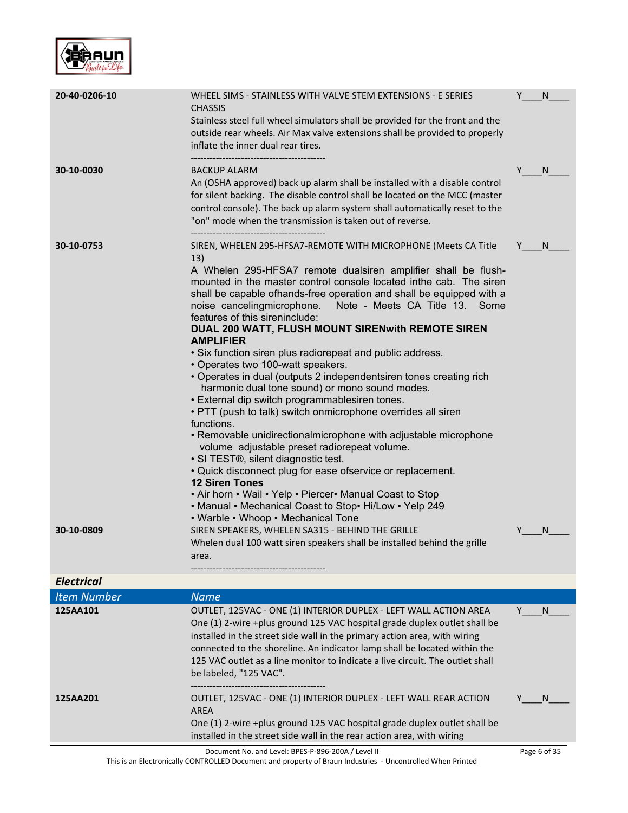

| 20-40-0206-10            | WHEEL SIMS - STAINLESS WITH VALVE STEM EXTENSIONS - E SERIES<br><b>CHASSIS</b><br>Stainless steel full wheel simulators shall be provided for the front and the<br>outside rear wheels. Air Max valve extensions shall be provided to properly<br>inflate the inner dual rear tires.                                                                                                                                                                                                                                                                                                                                                                                                                                                                                                                                                                                                                                                                                                                                                                                                                                                                                                                                                                                                                                                                                   |   | N            |
|--------------------------|------------------------------------------------------------------------------------------------------------------------------------------------------------------------------------------------------------------------------------------------------------------------------------------------------------------------------------------------------------------------------------------------------------------------------------------------------------------------------------------------------------------------------------------------------------------------------------------------------------------------------------------------------------------------------------------------------------------------------------------------------------------------------------------------------------------------------------------------------------------------------------------------------------------------------------------------------------------------------------------------------------------------------------------------------------------------------------------------------------------------------------------------------------------------------------------------------------------------------------------------------------------------------------------------------------------------------------------------------------------------|---|--------------|
| 30-10-0030               | <b>BACKUP ALARM</b><br>An (OSHA approved) back up alarm shall be installed with a disable control<br>for silent backing. The disable control shall be located on the MCC (master<br>control console). The back up alarm system shall automatically reset to the<br>"on" mode when the transmission is taken out of reverse.                                                                                                                                                                                                                                                                                                                                                                                                                                                                                                                                                                                                                                                                                                                                                                                                                                                                                                                                                                                                                                            | Y | N            |
| 30-10-0753<br>30-10-0809 | SIREN, WHELEN 295-HFSA7-REMOTE WITH MICROPHONE (Meets CA Title<br>13)<br>A Whelen 295-HFSA7 remote dualsiren amplifier shall be flush-<br>mounted in the master control console located inthe cab. The siren<br>shall be capable ofhands-free operation and shall be equipped with a<br>noise cancelingmicrophone.<br>Note - Meets CA Title 13. Some<br>features of this sireninclude:<br>DUAL 200 WATT, FLUSH MOUNT SIRENwith REMOTE SIREN<br><b>AMPLIFIER</b><br>• Six function siren plus radiorepeat and public address.<br>• Operates two 100-watt speakers.<br>• Operates in dual (outputs 2 independentsiren tones creating rich<br>harmonic dual tone sound) or mono sound modes.<br>• External dip switch programmablesiren tones.<br>• PTT (push to talk) switch onmicrophone overrides all siren<br>functions.<br>• Removable unidirectionalmicrophone with adjustable microphone<br>volume adjustable preset radiorepeat volume.<br>• SI TEST®, silent diagnostic test.<br>• Quick disconnect plug for ease ofservice or replacement.<br><b>12 Siren Tones</b><br>• Air horn • Wail • Yelp • Piercer• Manual Coast to Stop<br>• Manual • Mechanical Coast to Stop• Hi/Low • Yelp 249<br>• Warble • Whoop • Mechanical Tone<br>SIREN SPEAKERS, WHELEN SA315 - BEHIND THE GRILLE<br>Whelen dual 100 watt siren speakers shall be installed behind the grille | Y | N.<br>N.     |
| <b>Electrical</b>        | area.                                                                                                                                                                                                                                                                                                                                                                                                                                                                                                                                                                                                                                                                                                                                                                                                                                                                                                                                                                                                                                                                                                                                                                                                                                                                                                                                                                  |   |              |
| <b>Item Number</b>       | <b>Name</b>                                                                                                                                                                                                                                                                                                                                                                                                                                                                                                                                                                                                                                                                                                                                                                                                                                                                                                                                                                                                                                                                                                                                                                                                                                                                                                                                                            |   |              |
| 125AA101                 | OUTLET, 125VAC - ONE (1) INTERIOR DUPLEX - LEFT WALL ACTION AREA<br>One (1) 2-wire +plus ground 125 VAC hospital grade duplex outlet shall be<br>installed in the street side wall in the primary action area, with wiring<br>connected to the shoreline. An indicator lamp shall be located within the<br>125 VAC outlet as a line monitor to indicate a live circuit. The outlet shall<br>be labeled, "125 VAC".                                                                                                                                                                                                                                                                                                                                                                                                                                                                                                                                                                                                                                                                                                                                                                                                                                                                                                                                                     | Y | - N          |
| 125AA201                 | OUTLET, 125VAC - ONE (1) INTERIOR DUPLEX - LEFT WALL REAR ACTION<br><b>AREA</b><br>One (1) 2-wire +plus ground 125 VAC hospital grade duplex outlet shall be<br>installed in the street side wall in the rear action area, with wiring                                                                                                                                                                                                                                                                                                                                                                                                                                                                                                                                                                                                                                                                                                                                                                                                                                                                                                                                                                                                                                                                                                                                 |   | N.           |
|                          | Document No. and Level: BPES-P-896-200A / Level II                                                                                                                                                                                                                                                                                                                                                                                                                                                                                                                                                                                                                                                                                                                                                                                                                                                                                                                                                                                                                                                                                                                                                                                                                                                                                                                     |   | Page 6 of 35 |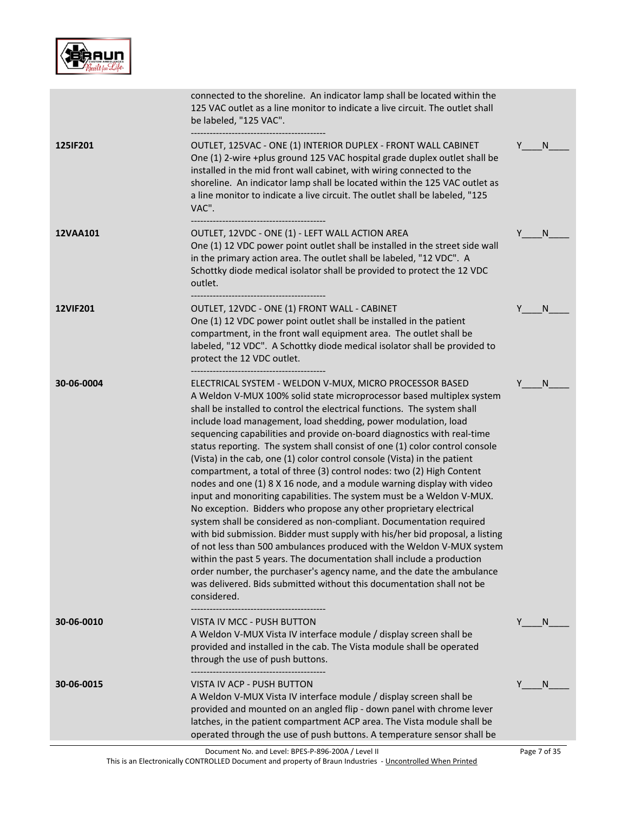

|                 | connected to the shoreline. An indicator lamp shall be located within the<br>125 VAC outlet as a line monitor to indicate a live circuit. The outlet shall<br>be labeled, "125 VAC".                                                                                                                                                                                                                                                                                                                                                                                                                                                                                                                                                                                                                                                                                                                                                                                                                                                                                                                                                                                                                                                                                                             |              |
|-----------------|--------------------------------------------------------------------------------------------------------------------------------------------------------------------------------------------------------------------------------------------------------------------------------------------------------------------------------------------------------------------------------------------------------------------------------------------------------------------------------------------------------------------------------------------------------------------------------------------------------------------------------------------------------------------------------------------------------------------------------------------------------------------------------------------------------------------------------------------------------------------------------------------------------------------------------------------------------------------------------------------------------------------------------------------------------------------------------------------------------------------------------------------------------------------------------------------------------------------------------------------------------------------------------------------------|--------------|
| <b>125IF201</b> | OUTLET, 125VAC - ONE (1) INTERIOR DUPLEX - FRONT WALL CABINET<br>One (1) 2-wire +plus ground 125 VAC hospital grade duplex outlet shall be<br>installed in the mid front wall cabinet, with wiring connected to the<br>shoreline. An indicator lamp shall be located within the 125 VAC outlet as<br>a line monitor to indicate a live circuit. The outlet shall be labeled, "125<br>VAC".                                                                                                                                                                                                                                                                                                                                                                                                                                                                                                                                                                                                                                                                                                                                                                                                                                                                                                       | Y<br>N       |
| 12VAA101        | OUTLET, 12VDC - ONE (1) - LEFT WALL ACTION AREA<br>One (1) 12 VDC power point outlet shall be installed in the street side wall<br>in the primary action area. The outlet shall be labeled, "12 VDC". A<br>Schottky diode medical isolator shall be provided to protect the 12 VDC<br>outlet.                                                                                                                                                                                                                                                                                                                                                                                                                                                                                                                                                                                                                                                                                                                                                                                                                                                                                                                                                                                                    | Y<br>N       |
| <b>12VIF201</b> | OUTLET, 12VDC - ONE (1) FRONT WALL - CABINET<br>One (1) 12 VDC power point outlet shall be installed in the patient<br>compartment, in the front wall equipment area. The outlet shall be<br>labeled, "12 VDC". A Schottky diode medical isolator shall be provided to<br>protect the 12 VDC outlet.                                                                                                                                                                                                                                                                                                                                                                                                                                                                                                                                                                                                                                                                                                                                                                                                                                                                                                                                                                                             | N            |
| 30-06-0004      | ELECTRICAL SYSTEM - WELDON V-MUX, MICRO PROCESSOR BASED<br>A Weldon V-MUX 100% solid state microprocessor based multiplex system<br>shall be installed to control the electrical functions. The system shall<br>include load management, load shedding, power modulation, load<br>sequencing capabilities and provide on-board diagnostics with real-time<br>status reporting. The system shall consist of one (1) color control console<br>(Vista) in the cab, one (1) color control console (Vista) in the patient<br>compartment, a total of three (3) control nodes: two (2) High Content<br>nodes and one (1) 8 X 16 node, and a module warning display with video<br>input and monoriting capabilities. The system must be a Weldon V-MUX.<br>No exception. Bidders who propose any other proprietary electrical<br>system shall be considered as non-compliant. Documentation required<br>with bid submission. Bidder must supply with his/her bid proposal, a listing<br>of not less than 500 ambulances produced with the Weldon V-MUX system<br>within the past 5 years. The documentation shall include a production<br>order number, the purchaser's agency name, and the date the ambulance<br>was delivered. Bids submitted without this documentation shall not be<br>considered. | N            |
| 30-06-0010      | VISTA IV MCC - PUSH BUTTON<br>A Weldon V-MUX Vista IV interface module / display screen shall be<br>provided and installed in the cab. The Vista module shall be operated<br>through the use of push buttons.                                                                                                                                                                                                                                                                                                                                                                                                                                                                                                                                                                                                                                                                                                                                                                                                                                                                                                                                                                                                                                                                                    | Y<br>N       |
| 30-06-0015      | VISTA IV ACP - PUSH BUTTON<br>A Weldon V-MUX Vista IV interface module / display screen shall be<br>provided and mounted on an angled flip - down panel with chrome lever<br>latches, in the patient compartment ACP area. The Vista module shall be<br>operated through the use of push buttons. A temperature sensor shall be                                                                                                                                                                                                                                                                                                                                                                                                                                                                                                                                                                                                                                                                                                                                                                                                                                                                                                                                                                  | N            |
|                 | Document No. and Level: BPES-P-896-200A / Level II                                                                                                                                                                                                                                                                                                                                                                                                                                                                                                                                                                                                                                                                                                                                                                                                                                                                                                                                                                                                                                                                                                                                                                                                                                               | Page 7 of 35 |

This is an Electronically CONTROLLED Document and property of Braun Industries - <u>Uncontrolled When Printed</u>

Page 7 of 35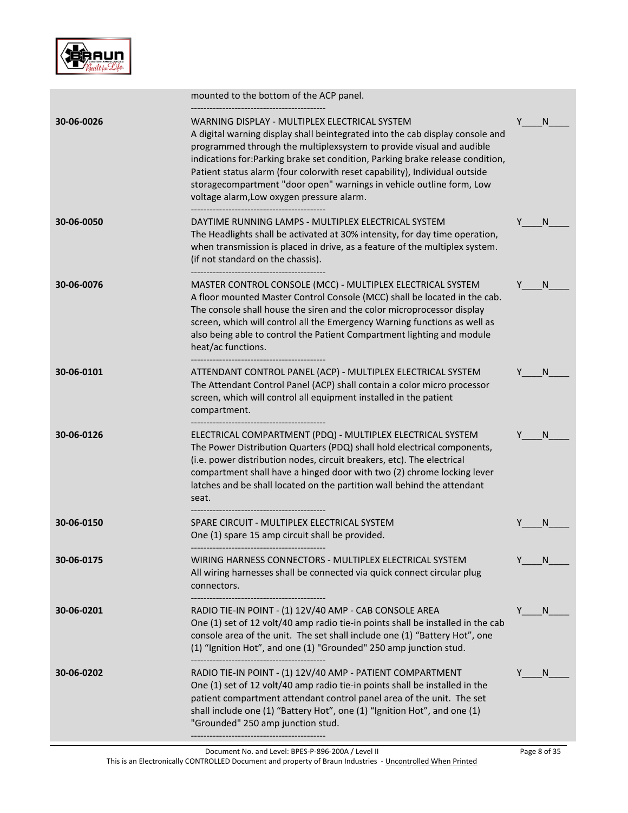

|            | mounted to the bottom of the ACP panel.                                                                                                                                                                                                                                                                                                                                                                                                                                                     |   |    |
|------------|---------------------------------------------------------------------------------------------------------------------------------------------------------------------------------------------------------------------------------------------------------------------------------------------------------------------------------------------------------------------------------------------------------------------------------------------------------------------------------------------|---|----|
| 30-06-0026 | WARNING DISPLAY - MULTIPLEX ELECTRICAL SYSTEM<br>A digital warning display shall beintegrated into the cab display console and<br>programmed through the multiplexsystem to provide visual and audible<br>indications for: Parking brake set condition, Parking brake release condition,<br>Patient status alarm (four colorwith reset capability), Individual outside<br>storagecompartment "door open" warnings in vehicle outline form, Low<br>voltage alarm, Low oxygen pressure alarm. | Y | N. |
| 30-06-0050 | DAYTIME RUNNING LAMPS - MULTIPLEX ELECTRICAL SYSTEM<br>The Headlights shall be activated at 30% intensity, for day time operation,<br>when transmission is placed in drive, as a feature of the multiplex system.<br>(if not standard on the chassis).                                                                                                                                                                                                                                      |   | N  |
| 30-06-0076 | MASTER CONTROL CONSOLE (MCC) - MULTIPLEX ELECTRICAL SYSTEM<br>A floor mounted Master Control Console (MCC) shall be located in the cab.<br>The console shall house the siren and the color microprocessor display<br>screen, which will control all the Emergency Warning functions as well as<br>also being able to control the Patient Compartment lighting and module<br>heat/ac functions.                                                                                              |   | N. |
| 30-06-0101 | ATTENDANT CONTROL PANEL (ACP) - MULTIPLEX ELECTRICAL SYSTEM<br>The Attendant Control Panel (ACP) shall contain a color micro processor<br>screen, which will control all equipment installed in the patient<br>compartment.                                                                                                                                                                                                                                                                 |   | N  |
| 30-06-0126 | ELECTRICAL COMPARTMENT (PDQ) - MULTIPLEX ELECTRICAL SYSTEM<br>The Power Distribution Quarters (PDQ) shall hold electrical components,<br>(i.e. power distribution nodes, circuit breakers, etc). The electrical<br>compartment shall have a hinged door with two (2) chrome locking lever<br>latches and be shall located on the partition wall behind the attendant<br>seat.                                                                                                               |   | N  |
| 30-06-0150 | SPARE CIRCUIT - MULTIPLEX ELECTRICAL SYSTEM<br>One (1) spare 15 amp circuit shall be provided.                                                                                                                                                                                                                                                                                                                                                                                              |   |    |
| 30-06-0175 | WIRING HARNESS CONNECTORS - MULTIPLEX ELECTRICAL SYSTEM<br>All wiring harnesses shall be connected via quick connect circular plug<br>connectors.                                                                                                                                                                                                                                                                                                                                           |   |    |
| 30-06-0201 | RADIO TIE-IN POINT - (1) 12V/40 AMP - CAB CONSOLE AREA<br>One (1) set of 12 volt/40 amp radio tie-in points shall be installed in the cab<br>console area of the unit. The set shall include one (1) "Battery Hot", one<br>(1) "Ignition Hot", and one (1) "Grounded" 250 amp junction stud.                                                                                                                                                                                                |   | N  |
| 30-06-0202 | RADIO TIE-IN POINT - (1) 12V/40 AMP - PATIENT COMPARTMENT<br>One (1) set of 12 volt/40 amp radio tie-in points shall be installed in the<br>patient compartment attendant control panel area of the unit. The set<br>shall include one (1) "Battery Hot", one (1) "Ignition Hot", and one (1)<br>"Grounded" 250 amp junction stud.                                                                                                                                                          |   | N  |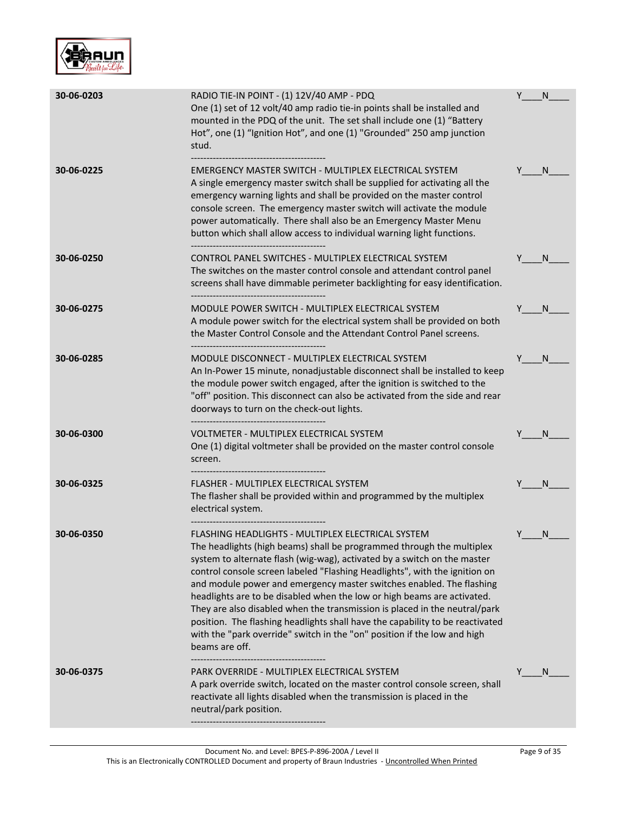

| 30-06-0203 | RADIO TIE-IN POINT - (1) 12V/40 AMP - PDQ<br>One (1) set of 12 volt/40 amp radio tie-in points shall be installed and<br>mounted in the PDQ of the unit. The set shall include one (1) "Battery<br>Hot", one (1) "Ignition Hot", and one (1) "Grounded" 250 amp junction<br>stud.                                                                                                                                                                                                                                                                                                                                                                                                                    | Y | N            |
|------------|------------------------------------------------------------------------------------------------------------------------------------------------------------------------------------------------------------------------------------------------------------------------------------------------------------------------------------------------------------------------------------------------------------------------------------------------------------------------------------------------------------------------------------------------------------------------------------------------------------------------------------------------------------------------------------------------------|---|--------------|
| 30-06-0225 | EMERGENCY MASTER SWITCH - MULTIPLEX ELECTRICAL SYSTEM<br>A single emergency master switch shall be supplied for activating all the<br>emergency warning lights and shall be provided on the master control<br>console screen. The emergency master switch will activate the module<br>power automatically. There shall also be an Emergency Master Menu<br>button which shall allow access to individual warning light functions.<br>-------------------------------------                                                                                                                                                                                                                           |   | <sub>N</sub> |
| 30-06-0250 | CONTROL PANEL SWITCHES - MULTIPLEX ELECTRICAL SYSTEM<br>The switches on the master control console and attendant control panel<br>screens shall have dimmable perimeter backlighting for easy identification.                                                                                                                                                                                                                                                                                                                                                                                                                                                                                        |   | N.           |
| 30-06-0275 | MODULE POWER SWITCH - MULTIPLEX ELECTRICAL SYSTEM<br>A module power switch for the electrical system shall be provided on both<br>the Master Control Console and the Attendant Control Panel screens.                                                                                                                                                                                                                                                                                                                                                                                                                                                                                                |   | <sub>N</sub> |
| 30-06-0285 | MODULE DISCONNECT - MULTIPLEX ELECTRICAL SYSTEM<br>An In-Power 15 minute, nonadjustable disconnect shall be installed to keep<br>the module power switch engaged, after the ignition is switched to the<br>"off" position. This disconnect can also be activated from the side and rear<br>doorways to turn on the check-out lights.                                                                                                                                                                                                                                                                                                                                                                 |   | <sub>N</sub> |
| 30-06-0300 | VOLTMETER - MULTIPLEX ELECTRICAL SYSTEM<br>One (1) digital voltmeter shall be provided on the master control console<br>screen.                                                                                                                                                                                                                                                                                                                                                                                                                                                                                                                                                                      |   | N            |
| 30-06-0325 | FLASHER - MULTIPLEX ELECTRICAL SYSTEM<br>The flasher shall be provided within and programmed by the multiplex<br>electrical system.                                                                                                                                                                                                                                                                                                                                                                                                                                                                                                                                                                  |   | N            |
| 30-06-0350 | FLASHING HEADLIGHTS - MULTIPLEX ELECTRICAL SYSTEM<br>The headlights (high beams) shall be programmed through the multiplex<br>system to alternate flash (wig-wag), activated by a switch on the master<br>control console screen labeled "Flashing Headlights", with the ignition on<br>and module power and emergency master switches enabled. The flashing<br>headlights are to be disabled when the low or high beams are activated.<br>They are also disabled when the transmission is placed in the neutral/park<br>position. The flashing headlights shall have the capability to be reactivated<br>with the "park override" switch in the "on" position if the low and high<br>beams are off. |   | N            |
| 30-06-0375 | PARK OVERRIDE - MULTIPLEX ELECTRICAL SYSTEM<br>A park override switch, located on the master control console screen, shall<br>reactivate all lights disabled when the transmission is placed in the<br>neutral/park position.                                                                                                                                                                                                                                                                                                                                                                                                                                                                        |   | <sub>N</sub> |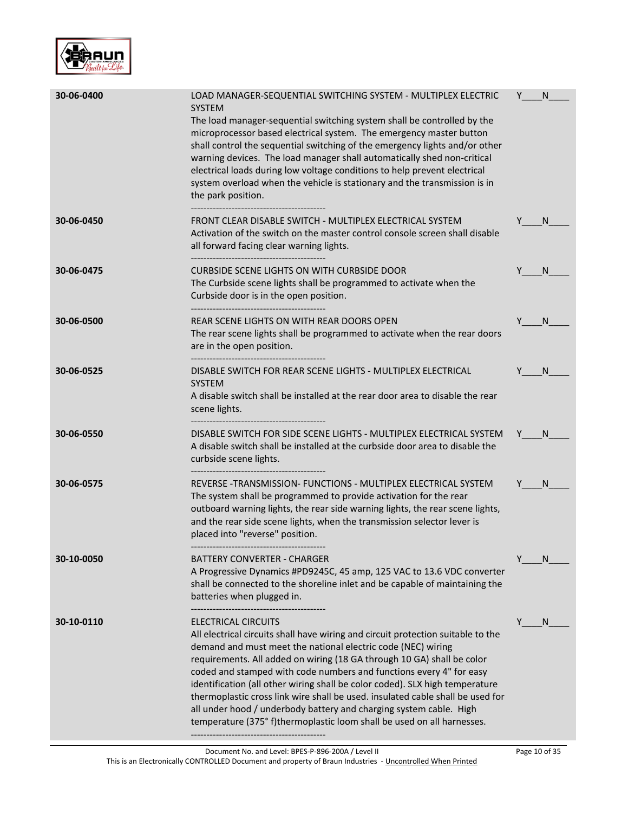

| 30-06-0400 | LOAD MANAGER-SEQUENTIAL SWITCHING SYSTEM - MULTIPLEX ELECTRIC<br><b>SYSTEM</b><br>The load manager-sequential switching system shall be controlled by the<br>microprocessor based electrical system. The emergency master button<br>shall control the sequential switching of the emergency lights and/or other<br>warning devices. The load manager shall automatically shed non-critical<br>electrical loads during low voltage conditions to help prevent electrical<br>system overload when the vehicle is stationary and the transmission is in<br>the park position.                                                                 | Y | N            |
|------------|--------------------------------------------------------------------------------------------------------------------------------------------------------------------------------------------------------------------------------------------------------------------------------------------------------------------------------------------------------------------------------------------------------------------------------------------------------------------------------------------------------------------------------------------------------------------------------------------------------------------------------------------|---|--------------|
| 30-06-0450 | FRONT CLEAR DISABLE SWITCH - MULTIPLEX ELECTRICAL SYSTEM<br>Activation of the switch on the master control console screen shall disable<br>all forward facing clear warning lights.                                                                                                                                                                                                                                                                                                                                                                                                                                                        |   | N            |
| 30-06-0475 | CURBSIDE SCENE LIGHTS ON WITH CURBSIDE DOOR<br>The Curbside scene lights shall be programmed to activate when the<br>Curbside door is in the open position.<br>------------------------------------                                                                                                                                                                                                                                                                                                                                                                                                                                        |   | N            |
| 30-06-0500 | REAR SCENE LIGHTS ON WITH REAR DOORS OPEN<br>The rear scene lights shall be programmed to activate when the rear doors<br>are in the open position.                                                                                                                                                                                                                                                                                                                                                                                                                                                                                        | Y | <sub>N</sub> |
| 30-06-0525 | DISABLE SWITCH FOR REAR SCENE LIGHTS - MULTIPLEX ELECTRICAL<br><b>SYSTEM</b><br>A disable switch shall be installed at the rear door area to disable the rear<br>scene lights.                                                                                                                                                                                                                                                                                                                                                                                                                                                             |   | N            |
| 30-06-0550 | DISABLE SWITCH FOR SIDE SCENE LIGHTS - MULTIPLEX ELECTRICAL SYSTEM<br>A disable switch shall be installed at the curbside door area to disable the<br>curbside scene lights.                                                                                                                                                                                                                                                                                                                                                                                                                                                               | Y | N.           |
| 30-06-0575 | REVERSE - TRANSMISSION- FUNCTIONS - MULTIPLEX ELECTRICAL SYSTEM<br>The system shall be programmed to provide activation for the rear<br>outboard warning lights, the rear side warning lights, the rear scene lights,<br>and the rear side scene lights, when the transmission selector lever is<br>placed into "reverse" position.                                                                                                                                                                                                                                                                                                        |   | N.           |
| 30-10-0050 | BATTERY CONVERTER - CHARGER<br>A Progressive Dynamics #PD9245C, 45 amp, 125 VAC to 13.6 VDC converter<br>shall be connected to the shoreline inlet and be capable of maintaining the<br>batteries when plugged in.                                                                                                                                                                                                                                                                                                                                                                                                                         | Y | N.           |
| 30-10-0110 | ELECTRICAL CIRCUITS<br>All electrical circuits shall have wiring and circuit protection suitable to the<br>demand and must meet the national electric code (NEC) wiring<br>requirements. All added on wiring (18 GA through 10 GA) shall be color<br>coded and stamped with code numbers and functions every 4" for easy<br>identification (all other wiring shall be color coded). SLX high temperature<br>thermoplastic cross link wire shall be used. insulated cable shall be used for<br>all under hood / underbody battery and charging system cable. High<br>temperature (375° f)thermoplastic loom shall be used on all harnesses. | Y | N            |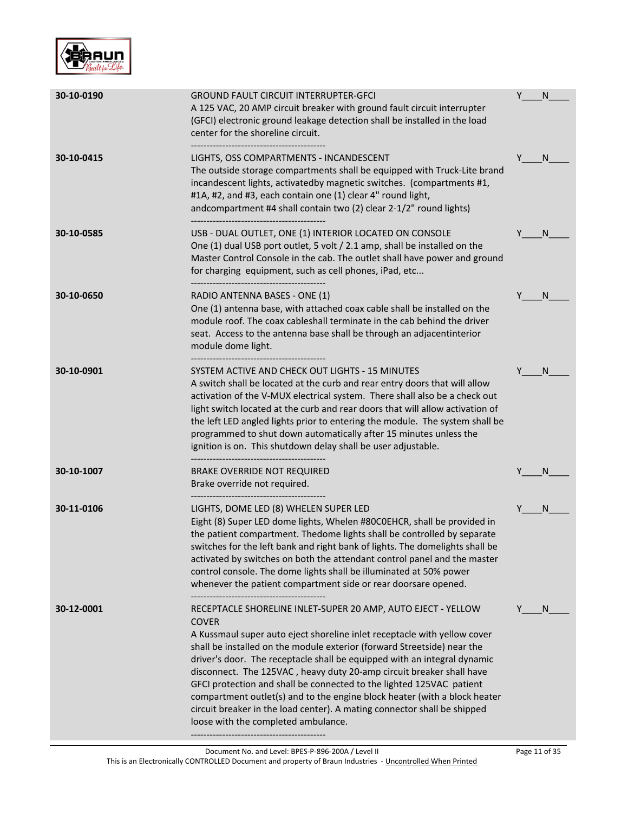

| 30-10-0190 | <b>GROUND FAULT CIRCUIT INTERRUPTER-GFCI</b><br>A 125 VAC, 20 AMP circuit breaker with ground fault circuit interrupter<br>(GFCI) electronic ground leakage detection shall be installed in the load<br>center for the shoreline circuit.                                                                                                                                                                                                                                                                                                                                                                                                                       | Y | N            |
|------------|-----------------------------------------------------------------------------------------------------------------------------------------------------------------------------------------------------------------------------------------------------------------------------------------------------------------------------------------------------------------------------------------------------------------------------------------------------------------------------------------------------------------------------------------------------------------------------------------------------------------------------------------------------------------|---|--------------|
| 30-10-0415 | LIGHTS, OSS COMPARTMENTS - INCANDESCENT<br>The outside storage compartments shall be equipped with Truck-Lite brand<br>incandescent lights, activatedby magnetic switches. (compartments #1,<br>#1A, #2, and #3, each contain one (1) clear 4" round light,<br>andcompartment #4 shall contain two (2) clear 2-1/2" round lights)                                                                                                                                                                                                                                                                                                                               |   | N.           |
| 30-10-0585 | USB - DUAL OUTLET, ONE (1) INTERIOR LOCATED ON CONSOLE<br>One (1) dual USB port outlet, 5 volt / 2.1 amp, shall be installed on the<br>Master Control Console in the cab. The outlet shall have power and ground<br>for charging equipment, such as cell phones, iPad, etc                                                                                                                                                                                                                                                                                                                                                                                      | Y | <sub>N</sub> |
| 30-10-0650 | RADIO ANTENNA BASES - ONE (1)<br>One (1) antenna base, with attached coax cable shall be installed on the<br>module roof. The coax cableshall terminate in the cab behind the driver<br>seat. Access to the antenna base shall be through an adjacentinterior<br>module dome light.                                                                                                                                                                                                                                                                                                                                                                             |   | N            |
| 30-10-0901 | SYSTEM ACTIVE AND CHECK OUT LIGHTS - 15 MINUTES<br>A switch shall be located at the curb and rear entry doors that will allow<br>activation of the V-MUX electrical system. There shall also be a check out<br>light switch located at the curb and rear doors that will allow activation of<br>the left LED angled lights prior to entering the module. The system shall be<br>programmed to shut down automatically after 15 minutes unless the<br>ignition is on. This shutdown delay shall be user adjustable.<br>----------------------------------                                                                                                        |   | N            |
| 30-10-1007 | <b>BRAKE OVERRIDE NOT REQUIRED</b><br>Brake override not required.                                                                                                                                                                                                                                                                                                                                                                                                                                                                                                                                                                                              |   | N            |
| 30-11-0106 | LIGHTS, DOME LED (8) WHELEN SUPER LED<br>Eight (8) Super LED dome lights, Whelen #80C0EHCR, shall be provided in<br>the patient compartment. Thedome lights shall be controlled by separate<br>switches for the left bank and right bank of lights. The domelights shall be<br>activated by switches on both the attendant control panel and the master<br>control console. The dome lights shall be illuminated at 50% power<br>whenever the patient compartment side or rear doorsare opened.                                                                                                                                                                 |   | N            |
| 30-12-0001 | RECEPTACLE SHORELINE INLET-SUPER 20 AMP, AUTO EJECT - YELLOW<br><b>COVER</b><br>A Kussmaul super auto eject shoreline inlet receptacle with yellow cover<br>shall be installed on the module exterior (forward Streetside) near the<br>driver's door. The receptacle shall be equipped with an integral dynamic<br>disconnect. The 125VAC, heavy duty 20-amp circuit breaker shall have<br>GFCI protection and shall be connected to the lighted 125VAC patient<br>compartment outlet(s) and to the engine block heater (with a block heater<br>circuit breaker in the load center). A mating connector shall be shipped<br>loose with the completed ambulance. |   | N.           |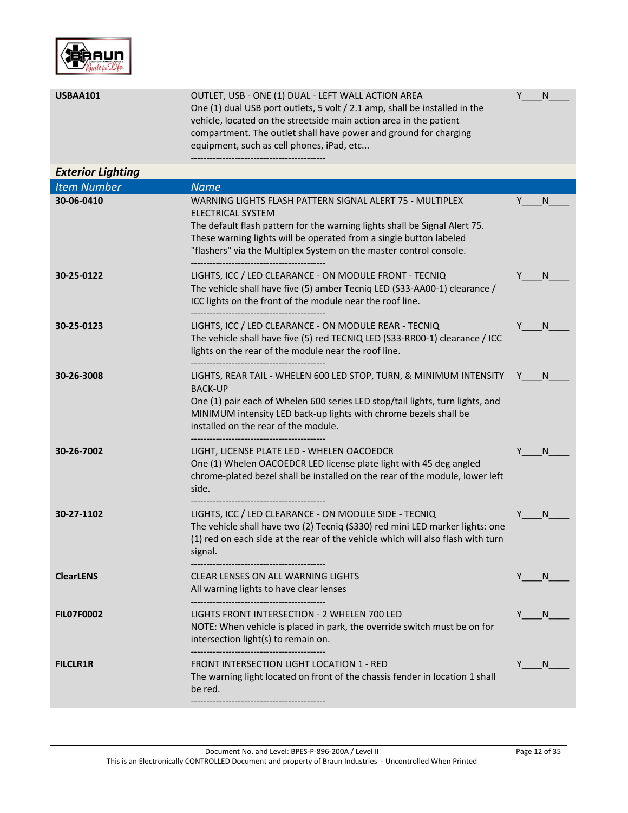

| <b>USBAA101</b>          | OUTLET, USB - ONE (1) DUAL - LEFT WALL ACTION AREA<br>One (1) dual USB port outlets, 5 volt / 2.1 amp, shall be installed in the<br>vehicle, located on the streetside main action area in the patient<br>compartment. The outlet shall have power and ground for charging<br>equipment, such as cell phones, iPad, etc                      | Υ | N  |
|--------------------------|----------------------------------------------------------------------------------------------------------------------------------------------------------------------------------------------------------------------------------------------------------------------------------------------------------------------------------------------|---|----|
| <b>Exterior Lighting</b> |                                                                                                                                                                                                                                                                                                                                              |   |    |
| <b>Item Number</b>       | <b>Name</b>                                                                                                                                                                                                                                                                                                                                  |   |    |
| 30-06-0410               | WARNING LIGHTS FLASH PATTERN SIGNAL ALERT 75 - MULTIPLEX<br><b>ELECTRICAL SYSTEM</b><br>The default flash pattern for the warning lights shall be Signal Alert 75.<br>These warning lights will be operated from a single button labeled<br>"flashers" via the Multiplex System on the master control console.<br>-------------------------- |   | N  |
| 30-25-0122               | LIGHTS, ICC / LED CLEARANCE - ON MODULE FRONT - TECNIQ<br>The vehicle shall have five (5) amber Tecniq LED (S33-AA00-1) clearance /<br>ICC lights on the front of the module near the roof line.                                                                                                                                             | Y | N  |
| 30-25-0123               | LIGHTS, ICC / LED CLEARANCE - ON MODULE REAR - TECNIQ<br>The vehicle shall have five (5) red TECNIQ LED (S33-RR00-1) clearance / ICC<br>lights on the rear of the module near the roof line.                                                                                                                                                 |   | N. |
| 30-26-3008               | LIGHTS, REAR TAIL - WHELEN 600 LED STOP, TURN, & MINIMUM INTENSITY<br><b>BACK-UP</b><br>One (1) pair each of Whelen 600 series LED stop/tail lights, turn lights, and<br>MINIMUM intensity LED back-up lights with chrome bezels shall be<br>installed on the rear of the module.                                                            |   | N. |
| 30-26-7002               | LIGHT, LICENSE PLATE LED - WHELEN OACOEDCR<br>One (1) Whelen OACOEDCR LED license plate light with 45 deg angled<br>chrome-plated bezel shall be installed on the rear of the module, lower left<br>side.                                                                                                                                    |   | N  |
| 30-27-1102               | LIGHTS, ICC / LED CLEARANCE - ON MODULE SIDE - TECNIQ<br>The vehicle shall have two (2) Tecniq (S330) red mini LED marker lights: one<br>(1) red on each side at the rear of the vehicle which will also flash with turn<br>signal.                                                                                                          |   | N  |
| <b>ClearLENS</b>         | <b>CLEAR LENSES ON ALL WARNING LIGHTS</b><br>All warning lights to have clear lenses                                                                                                                                                                                                                                                         | Y | N. |
| <b>FILO7F0002</b>        | LIGHTS FRONT INTERSECTION - 2 WHELEN 700 LED<br>NOTE: When vehicle is placed in park, the override switch must be on for<br>intersection light(s) to remain on.                                                                                                                                                                              | Y | N. |
| <b>FILCLR1R</b>          | <b>FRONT INTERSECTION LIGHT LOCATION 1 - RED</b><br>The warning light located on front of the chassis fender in location 1 shall<br>be red.                                                                                                                                                                                                  | Y | N. |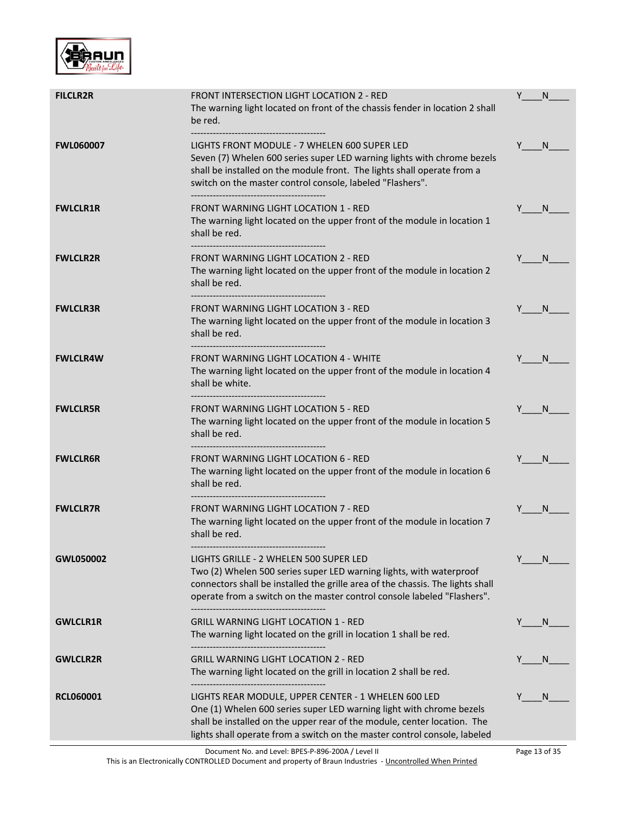

| <b>FILCLR2R</b>  | <b>FRONT INTERSECTION LIGHT LOCATION 2 - RED</b><br>The warning light located on front of the chassis fender in location 2 shall<br>be red.                                                                                                                                          | Y             | N  |
|------------------|--------------------------------------------------------------------------------------------------------------------------------------------------------------------------------------------------------------------------------------------------------------------------------------|---------------|----|
| <b>FWL060007</b> | LIGHTS FRONT MODULE - 7 WHELEN 600 SUPER LED<br>Seven (7) Whelen 600 series super LED warning lights with chrome bezels<br>shall be installed on the module front. The lights shall operate from a<br>switch on the master control console, labeled "Flashers".                      | Y N           |    |
| <b>FWLCLR1R</b>  | FRONT WARNING LIGHT LOCATION 1 - RED<br>The warning light located on the upper front of the module in location 1<br>shall be red.                                                                                                                                                    | Y             | N. |
| <b>FWLCLR2R</b>  | <b>FRONT WARNING LIGHT LOCATION 2 - RED</b><br>The warning light located on the upper front of the module in location 2<br>shall be red.                                                                                                                                             | Y.            | N. |
| <b>FWLCLR3R</b>  | <b>FRONT WARNING LIGHT LOCATION 3 - RED</b><br>The warning light located on the upper front of the module in location 3<br>shall be red.<br>------------------------------------                                                                                                     | Y<br><b>N</b> |    |
| <b>FWLCLR4W</b>  | <b>FRONT WARNING LIGHT LOCATION 4 - WHITE</b><br>The warning light located on the upper front of the module in location 4<br>shall be white.                                                                                                                                         | Y             | N. |
| <b>FWLCLR5R</b>  | <b>FRONT WARNING LIGHT LOCATION 5 - RED</b><br>The warning light located on the upper front of the module in location 5<br>shall be red.                                                                                                                                             | Y N           |    |
| <b>FWLCLR6R</b>  | <b>FRONT WARNING LIGHT LOCATION 6 - RED</b><br>The warning light located on the upper front of the module in location 6<br>shall be red.                                                                                                                                             | Y             | N  |
| <b>FWLCLR7R</b>  | FRONT WARNING LIGHT LOCATION 7 - RED<br>The warning light located on the upper front of the module in location 7<br>shall be red.                                                                                                                                                    | Y             | N. |
| GWL050002        | LIGHTS GRILLE - 2 WHELEN 500 SUPER LED<br>Two (2) Whelen 500 series super LED warning lights, with waterproof<br>connectors shall be installed the grille area of the chassis. The lights shall<br>operate from a switch on the master control console labeled "Flashers".           | Y             | N  |
| <b>GWLCLR1R</b>  | <b>GRILL WARNING LIGHT LOCATION 1 - RED</b><br>The warning light located on the grill in location 1 shall be red.                                                                                                                                                                    |               | N, |
| <b>GWLCLR2R</b>  | <b>GRILL WARNING LIGHT LOCATION 2 - RED</b><br>The warning light located on the grill in location 2 shall be red.                                                                                                                                                                    |               | N. |
| <b>RCL060001</b> | LIGHTS REAR MODULE, UPPER CENTER - 1 WHELEN 600 LED<br>One (1) Whelen 600 series super LED warning light with chrome bezels<br>shall be installed on the upper rear of the module, center location. The<br>lights shall operate from a switch on the master control console, labeled |               | N  |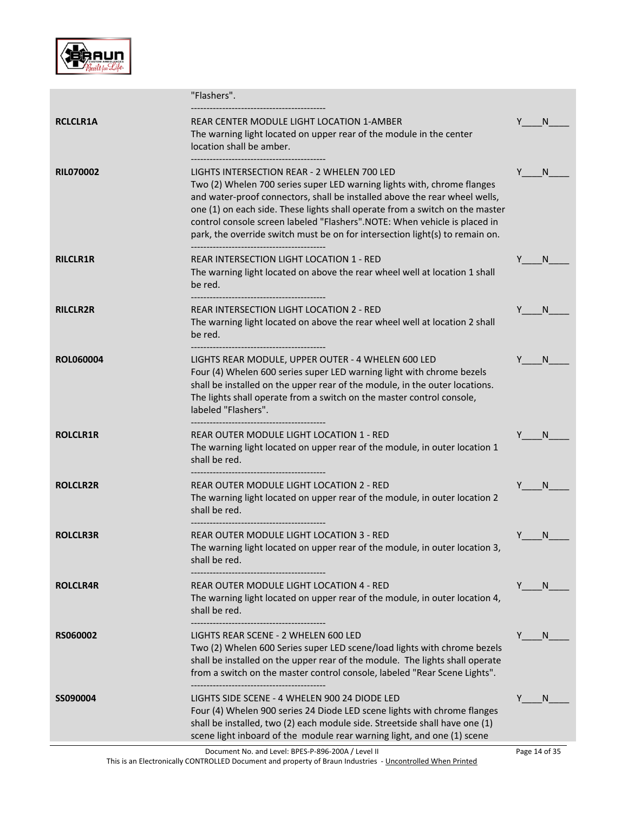

|                  | "Flashers".                                                                                                                                                                                                                                                                                                                                                                                                                                       |               |
|------------------|---------------------------------------------------------------------------------------------------------------------------------------------------------------------------------------------------------------------------------------------------------------------------------------------------------------------------------------------------------------------------------------------------------------------------------------------------|---------------|
| <b>RCLCLR1A</b>  | REAR CENTER MODULE LIGHT LOCATION 1-AMBER<br>The warning light located on upper rear of the module in the center<br>location shall be amber.                                                                                                                                                                                                                                                                                                      | N             |
| <b>RILO70002</b> | LIGHTS INTERSECTION REAR - 2 WHELEN 700 LED<br>Two (2) Whelen 700 series super LED warning lights with, chrome flanges<br>and water-proof connectors, shall be installed above the rear wheel wells,<br>one (1) on each side. These lights shall operate from a switch on the master<br>control console screen labeled "Flashers".NOTE: When vehicle is placed in<br>park, the override switch must be on for intersection light(s) to remain on. | Y N           |
| <b>RILCLR1R</b>  | REAR INTERSECTION LIGHT LOCATION 1 - RED<br>The warning light located on above the rear wheel well at location 1 shall<br>be red.                                                                                                                                                                                                                                                                                                                 | Y.<br>N.      |
| <b>RILCLR2R</b>  | REAR INTERSECTION LIGHT LOCATION 2 - RED<br>The warning light located on above the rear wheel well at location 2 shall<br>be red.                                                                                                                                                                                                                                                                                                                 | N<br>Y        |
| <b>ROL060004</b> | LIGHTS REAR MODULE, UPPER OUTER - 4 WHELEN 600 LED<br>Four (4) Whelen 600 series super LED warning light with chrome bezels<br>shall be installed on the upper rear of the module, in the outer locations.<br>The lights shall operate from a switch on the master control console,<br>labeled "Flashers".<br>--------------------------------------                                                                                              | Y<br>N.       |
| <b>ROLCLR1R</b>  | REAR OUTER MODULE LIGHT LOCATION 1 - RED<br>The warning light located on upper rear of the module, in outer location 1<br>shall be red.                                                                                                                                                                                                                                                                                                           | N             |
| <b>ROLCLR2R</b>  | REAR OUTER MODULE LIGHT LOCATION 2 - RED<br>The warning light located on upper rear of the module, in outer location 2<br>shall be red.<br>-----------------------------------                                                                                                                                                                                                                                                                    | N.<br>Y       |
| <b>ROLCLR3R</b>  | REAR OUTER MODULE LIGHT LOCATION 3 - RED<br>The warning light located on upper rear of the module, in outer location 3,<br>shall be red.                                                                                                                                                                                                                                                                                                          | N             |
| <b>ROLCLR4R</b>  | REAR OUTER MODULE LIGHT LOCATION 4 - RED<br>The warning light located on upper rear of the module, in outer location 4,<br>shall be red.                                                                                                                                                                                                                                                                                                          | N             |
| <b>RS060002</b>  | LIGHTS REAR SCENE - 2 WHELEN 600 LED<br>Two (2) Whelen 600 Series super LED scene/load lights with chrome bezels<br>shall be installed on the upper rear of the module. The lights shall operate<br>from a switch on the master control console, labeled "Rear Scene Lights".                                                                                                                                                                     | N             |
| SS090004         | LIGHTS SIDE SCENE - 4 WHELEN 900 24 DIODE LED<br>Four (4) Whelen 900 series 24 Diode LED scene lights with chrome flanges<br>shall be installed, two (2) each module side. Streetside shall have one (1)<br>scene light inboard of the module rear warning light, and one (1) scene                                                                                                                                                               | Y<br>N        |
|                  | Document No. and Level: BPES-P-896-200A / Level II                                                                                                                                                                                                                                                                                                                                                                                                | Page 14 of 35 |

This is an Electronically CONTROLLED Document and property of Braun Industries - <u>Uncontrolled When Printed</u>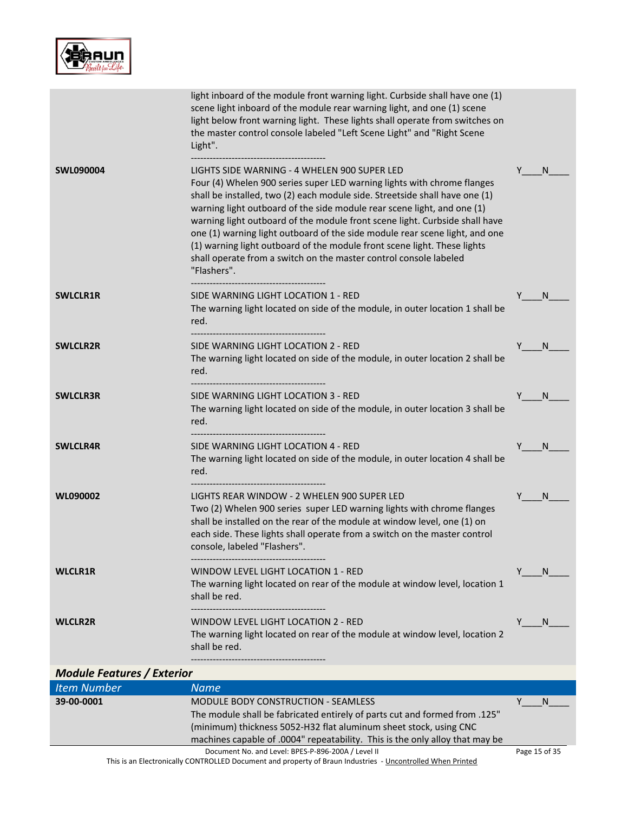

|                                   | light inboard of the module front warning light. Curbside shall have one (1)<br>scene light inboard of the module rear warning light, and one (1) scene<br>light below front warning light. These lights shall operate from switches on<br>the master control console labeled "Left Scene Light" and "Right Scene<br>Light".                                                                                                                                                                                                                                                                                    |         |
|-----------------------------------|-----------------------------------------------------------------------------------------------------------------------------------------------------------------------------------------------------------------------------------------------------------------------------------------------------------------------------------------------------------------------------------------------------------------------------------------------------------------------------------------------------------------------------------------------------------------------------------------------------------------|---------|
| <b>SWL090004</b>                  | LIGHTS SIDE WARNING - 4 WHELEN 900 SUPER LED<br>Four (4) Whelen 900 series super LED warning lights with chrome flanges<br>shall be installed, two (2) each module side. Streetside shall have one (1)<br>warning light outboard of the side module rear scene light, and one (1)<br>warning light outboard of the module front scene light. Curbside shall have<br>one (1) warning light outboard of the side module rear scene light, and one<br>(1) warning light outboard of the module front scene light. These lights<br>shall operate from a switch on the master control console labeled<br>"Flashers". | N<br>Y  |
| <b>SWLCLR1R</b>                   | SIDE WARNING LIGHT LOCATION 1 - RED<br>The warning light located on side of the module, in outer location 1 shall be<br>red.<br>----------------------------------                                                                                                                                                                                                                                                                                                                                                                                                                                              | Y<br>N  |
| <b>SWLCLR2R</b>                   | SIDE WARNING LIGHT LOCATION 2 - RED<br>The warning light located on side of the module, in outer location 2 shall be<br>red.                                                                                                                                                                                                                                                                                                                                                                                                                                                                                    | N       |
| <b>SWLCLR3R</b>                   | SIDE WARNING LIGHT LOCATION 3 - RED<br>The warning light located on side of the module, in outer location 3 shall be<br>red.                                                                                                                                                                                                                                                                                                                                                                                                                                                                                    | N       |
| <b>SWLCLR4R</b>                   | SIDE WARNING LIGHT LOCATION 4 - RED<br>The warning light located on side of the module, in outer location 4 shall be<br>red.                                                                                                                                                                                                                                                                                                                                                                                                                                                                                    | Y<br>N. |
| WL090002                          | LIGHTS REAR WINDOW - 2 WHELEN 900 SUPER LED<br>Two (2) Whelen 900 series super LED warning lights with chrome flanges<br>shall be installed on the rear of the module at window level, one (1) on<br>each side. These lights shall operate from a switch on the master control<br>console, labeled "Flashers".                                                                                                                                                                                                                                                                                                  | Y<br>N  |
| <b>WLCLR1R</b>                    | WINDOW LEVEL LIGHT LOCATION 1 - RED<br>The warning light located on rear of the module at window level, location 1<br>shall be red.                                                                                                                                                                                                                                                                                                                                                                                                                                                                             | Y<br>N. |
| <b>WLCLR2R</b>                    | WINDOW LEVEL LIGHT LOCATION 2 - RED<br>The warning light located on rear of the module at window level, location 2<br>shall be red.                                                                                                                                                                                                                                                                                                                                                                                                                                                                             | Y<br>N. |
| <b>Module Features / Exterior</b> |                                                                                                                                                                                                                                                                                                                                                                                                                                                                                                                                                                                                                 |         |
| <b>Item Number</b>                | <b>Name</b>                                                                                                                                                                                                                                                                                                                                                                                                                                                                                                                                                                                                     |         |
| 39-00-0001                        | <b>MODULE BODY CONSTRUCTION - SEAMLESS</b><br>The module shall be fabricated entirely of parts cut and formed from .125"<br>(minimum) thickness 5052-H32 flat aluminum sheet stock, using CNC                                                                                                                                                                                                                                                                                                                                                                                                                   | Y<br>N. |

Document No. and Level: BPES-P-896-200A / Level II This is an Electronically CONTROLLED Document and property of Braun Industries - <u>Uncontrolled When Printed</u>

machines capable of .0004" repeatability. This is the only alloy that may be

Page 15 of 35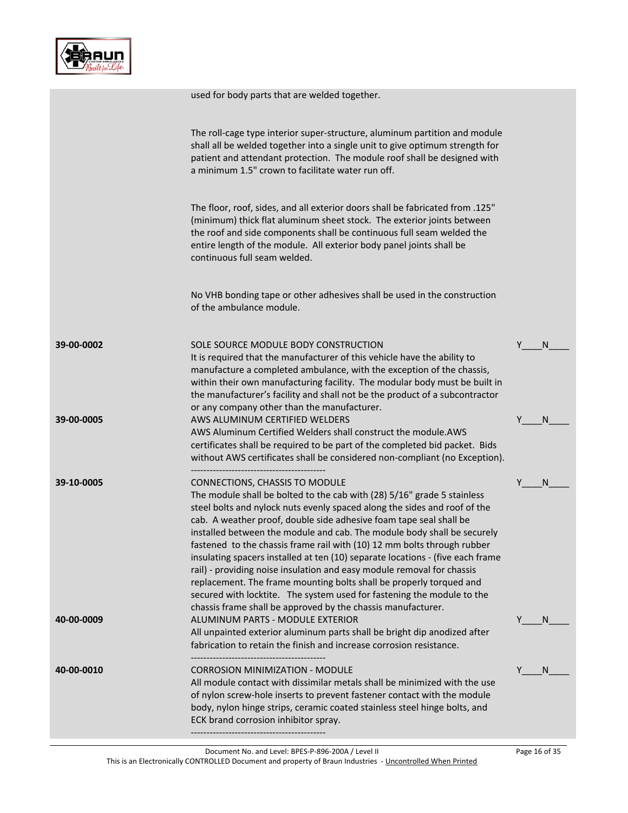

|            | used for body parts that are welded together.                                                                                                                                                                                                                                                                                                                                                                                                                                                                                                                                                                                                                                                                                                                                                   |    |              |
|------------|-------------------------------------------------------------------------------------------------------------------------------------------------------------------------------------------------------------------------------------------------------------------------------------------------------------------------------------------------------------------------------------------------------------------------------------------------------------------------------------------------------------------------------------------------------------------------------------------------------------------------------------------------------------------------------------------------------------------------------------------------------------------------------------------------|----|--------------|
|            | The roll-cage type interior super-structure, aluminum partition and module<br>shall all be welded together into a single unit to give optimum strength for<br>patient and attendant protection. The module roof shall be designed with<br>a minimum 1.5" crown to facilitate water run off.                                                                                                                                                                                                                                                                                                                                                                                                                                                                                                     |    |              |
|            | The floor, roof, sides, and all exterior doors shall be fabricated from .125"<br>(minimum) thick flat aluminum sheet stock. The exterior joints between<br>the roof and side components shall be continuous full seam welded the<br>entire length of the module. All exterior body panel joints shall be<br>continuous full seam welded.                                                                                                                                                                                                                                                                                                                                                                                                                                                        |    |              |
|            | No VHB bonding tape or other adhesives shall be used in the construction<br>of the ambulance module.                                                                                                                                                                                                                                                                                                                                                                                                                                                                                                                                                                                                                                                                                            |    |              |
| 39-00-0002 | SOLE SOURCE MODULE BODY CONSTRUCTION<br>It is required that the manufacturer of this vehicle have the ability to<br>manufacture a completed ambulance, with the exception of the chassis,<br>within their own manufacturing facility. The modular body must be built in<br>the manufacturer's facility and shall not be the product of a subcontractor<br>or any company other than the manufacturer.                                                                                                                                                                                                                                                                                                                                                                                           | Y  | <sub>N</sub> |
| 39-00-0005 | AWS ALUMINUM CERTIFIED WELDERS<br>AWS Aluminum Certified Welders shall construct the module.AWS<br>certificates shall be required to be part of the completed bid packet. Bids<br>without AWS certificates shall be considered non-compliant (no Exception).                                                                                                                                                                                                                                                                                                                                                                                                                                                                                                                                    | Y  | N            |
| 39-10-0005 | CONNECTIONS, CHASSIS TO MODULE<br>The module shall be bolted to the cab with (28) 5/16" grade 5 stainless<br>steel bolts and nylock nuts evenly spaced along the sides and roof of the<br>cab. A weather proof, double side adhesive foam tape seal shall be<br>installed between the module and cab. The module body shall be securely<br>fastened to the chassis frame rail with (10) 12 mm bolts through rubber<br>insulating spacers installed at ten (10) separate locations - (five each frame<br>rail) - providing noise insulation and easy module removal for chassis<br>replacement. The frame mounting bolts shall be properly torqued and<br>secured with locktite. The system used for fastening the module to the<br>chassis frame shall be approved by the chassis manufacturer. |    | N            |
| 40-00-0009 | ALUMINUM PARTS - MODULE EXTERIOR<br>All unpainted exterior aluminum parts shall be bright dip anodized after<br>fabrication to retain the finish and increase corrosion resistance.                                                                                                                                                                                                                                                                                                                                                                                                                                                                                                                                                                                                             | Y. | <sup>N</sup> |
| 40-00-0010 | <b>CORROSION MINIMIZATION - MODULE</b><br>All module contact with dissimilar metals shall be minimized with the use<br>of nylon screw-hole inserts to prevent fastener contact with the module<br>body, nylon hinge strips, ceramic coated stainless steel hinge bolts, and<br>ECK brand corrosion inhibitor spray.                                                                                                                                                                                                                                                                                                                                                                                                                                                                             | Y  | N.           |
|            |                                                                                                                                                                                                                                                                                                                                                                                                                                                                                                                                                                                                                                                                                                                                                                                                 |    |              |

Page 16 of 35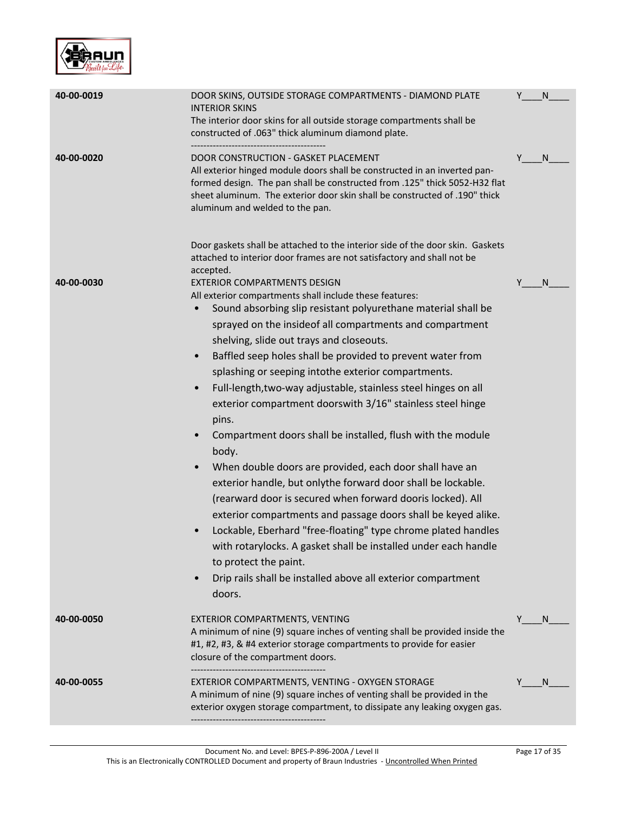

| 40-00-0019 | DOOR SKINS, OUTSIDE STORAGE COMPARTMENTS - DIAMOND PLATE<br><b>INTERIOR SKINS</b><br>The interior door skins for all outside storage compartments shall be<br>constructed of .063" thick aluminum diamond plate.                                                                                                                                                                                                                                                                                                                                                                                                                                                                                                                                                                                                                                                                                                                                                                                                                                                                                                                                      | Y | N            |
|------------|-------------------------------------------------------------------------------------------------------------------------------------------------------------------------------------------------------------------------------------------------------------------------------------------------------------------------------------------------------------------------------------------------------------------------------------------------------------------------------------------------------------------------------------------------------------------------------------------------------------------------------------------------------------------------------------------------------------------------------------------------------------------------------------------------------------------------------------------------------------------------------------------------------------------------------------------------------------------------------------------------------------------------------------------------------------------------------------------------------------------------------------------------------|---|--------------|
| 40-00-0020 | DOOR CONSTRUCTION - GASKET PLACEMENT<br>All exterior hinged module doors shall be constructed in an inverted pan-<br>formed design. The pan shall be constructed from .125" thick 5052-H32 flat<br>sheet aluminum. The exterior door skin shall be constructed of .190" thick<br>aluminum and welded to the pan.                                                                                                                                                                                                                                                                                                                                                                                                                                                                                                                                                                                                                                                                                                                                                                                                                                      | Y | $\mathsf{N}$ |
|            | Door gaskets shall be attached to the interior side of the door skin. Gaskets<br>attached to interior door frames are not satisfactory and shall not be<br>accepted.                                                                                                                                                                                                                                                                                                                                                                                                                                                                                                                                                                                                                                                                                                                                                                                                                                                                                                                                                                                  |   |              |
| 40-00-0030 | <b>EXTERIOR COMPARTMENTS DESIGN</b><br>All exterior compartments shall include these features:<br>Sound absorbing slip resistant polyurethane material shall be<br>$\bullet$<br>sprayed on the insideof all compartments and compartment<br>shelving, slide out trays and closeouts.<br>Baffled seep holes shall be provided to prevent water from<br>$\bullet$<br>splashing or seeping intothe exterior compartments.<br>Full-length, two-way adjustable, stainless steel hinges on all<br>$\bullet$<br>exterior compartment doorswith 3/16" stainless steel hinge<br>pins.<br>Compartment doors shall be installed, flush with the module<br>body.<br>When double doors are provided, each door shall have an<br>exterior handle, but onlythe forward door shall be lockable.<br>(rearward door is secured when forward dooris locked). All<br>exterior compartments and passage doors shall be keyed alike.<br>Lockable, Eberhard "free-floating" type chrome plated handles<br>with rotarylocks. A gasket shall be installed under each handle<br>to protect the paint.<br>Drip rails shall be installed above all exterior compartment<br>doors. |   | <sub>N</sub> |
| 40-00-0050 | EXTERIOR COMPARTMENTS, VENTING<br>A minimum of nine (9) square inches of venting shall be provided inside the<br>#1, #2, #3, & #4 exterior storage compartments to provide for easier<br>closure of the compartment doors.                                                                                                                                                                                                                                                                                                                                                                                                                                                                                                                                                                                                                                                                                                                                                                                                                                                                                                                            | Y | N            |
| 40-00-0055 | EXTERIOR COMPARTMENTS, VENTING - OXYGEN STORAGE<br>A minimum of nine (9) square inches of venting shall be provided in the<br>exterior oxygen storage compartment, to dissipate any leaking oxygen gas.                                                                                                                                                                                                                                                                                                                                                                                                                                                                                                                                                                                                                                                                                                                                                                                                                                                                                                                                               |   | <sub>N</sub> |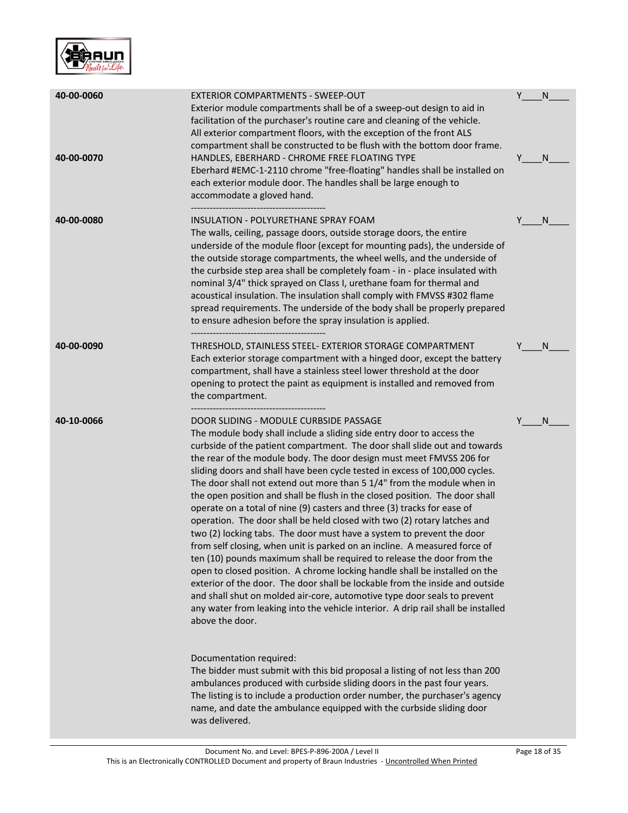

| 40-00-0060<br>40-00-0070 | <b>EXTERIOR COMPARTMENTS - SWEEP-OUT</b><br>Exterior module compartments shall be of a sweep-out design to aid in<br>facilitation of the purchaser's routine care and cleaning of the vehicle.<br>All exterior compartment floors, with the exception of the front ALS<br>compartment shall be constructed to be flush with the bottom door frame.<br>HANDLES, EBERHARD - CHROME FREE FLOATING TYPE<br>Eberhard #EMC-1-2110 chrome "free-floating" handles shall be installed on<br>each exterior module door. The handles shall be large enough to<br>accommodate a gloved hand.                                                                                                                                                                                                                                                                                                                                                                                                                                                                                                                                                                                                                                                                                                                                                                                                                                                                                                                                                                                                                                   | Y<br>N<br>Y<br>N |
|--------------------------|---------------------------------------------------------------------------------------------------------------------------------------------------------------------------------------------------------------------------------------------------------------------------------------------------------------------------------------------------------------------------------------------------------------------------------------------------------------------------------------------------------------------------------------------------------------------------------------------------------------------------------------------------------------------------------------------------------------------------------------------------------------------------------------------------------------------------------------------------------------------------------------------------------------------------------------------------------------------------------------------------------------------------------------------------------------------------------------------------------------------------------------------------------------------------------------------------------------------------------------------------------------------------------------------------------------------------------------------------------------------------------------------------------------------------------------------------------------------------------------------------------------------------------------------------------------------------------------------------------------------|------------------|
| 40-00-0080               | INSULATION - POLYURETHANE SPRAY FOAM<br>The walls, ceiling, passage doors, outside storage doors, the entire<br>underside of the module floor (except for mounting pads), the underside of<br>the outside storage compartments, the wheel wells, and the underside of<br>the curbside step area shall be completely foam - in - place insulated with<br>nominal 3/4" thick sprayed on Class I, urethane foam for thermal and<br>acoustical insulation. The insulation shall comply with FMVSS #302 flame<br>spread requirements. The underside of the body shall be properly prepared<br>to ensure adhesion before the spray insulation is applied.                                                                                                                                                                                                                                                                                                                                                                                                                                                                                                                                                                                                                                                                                                                                                                                                                                                                                                                                                                 | N                |
| 40-00-0090               | THRESHOLD, STAINLESS STEEL- EXTERIOR STORAGE COMPARTMENT<br>Each exterior storage compartment with a hinged door, except the battery<br>compartment, shall have a stainless steel lower threshold at the door<br>opening to protect the paint as equipment is installed and removed from<br>the compartment.                                                                                                                                                                                                                                                                                                                                                                                                                                                                                                                                                                                                                                                                                                                                                                                                                                                                                                                                                                                                                                                                                                                                                                                                                                                                                                        | N                |
| 40-10-0066               | DOOR SLIDING - MODULE CURBSIDE PASSAGE<br>The module body shall include a sliding side entry door to access the<br>curbside of the patient compartment. The door shall slide out and towards<br>the rear of the module body. The door design must meet FMVSS 206 for<br>sliding doors and shall have been cycle tested in excess of 100,000 cycles.<br>The door shall not extend out more than 5 1/4" from the module when in<br>the open position and shall be flush in the closed position. The door shall<br>operate on a total of nine (9) casters and three (3) tracks for ease of<br>operation. The door shall be held closed with two (2) rotary latches and<br>two (2) locking tabs. The door must have a system to prevent the door<br>from self closing, when unit is parked on an incline. A measured force of<br>ten (10) pounds maximum shall be required to release the door from the<br>open to closed position. A chrome locking handle shall be installed on the<br>exterior of the door. The door shall be lockable from the inside and outside<br>and shall shut on molded air-core, automotive type door seals to prevent<br>any water from leaking into the vehicle interior. A drip rail shall be installed<br>above the door.<br>Documentation required:<br>The bidder must submit with this bid proposal a listing of not less than 200<br>ambulances produced with curbside sliding doors in the past four years.<br>The listing is to include a production order number, the purchaser's agency<br>name, and date the ambulance equipped with the curbside sliding door<br>was delivered. | Υ<br>N           |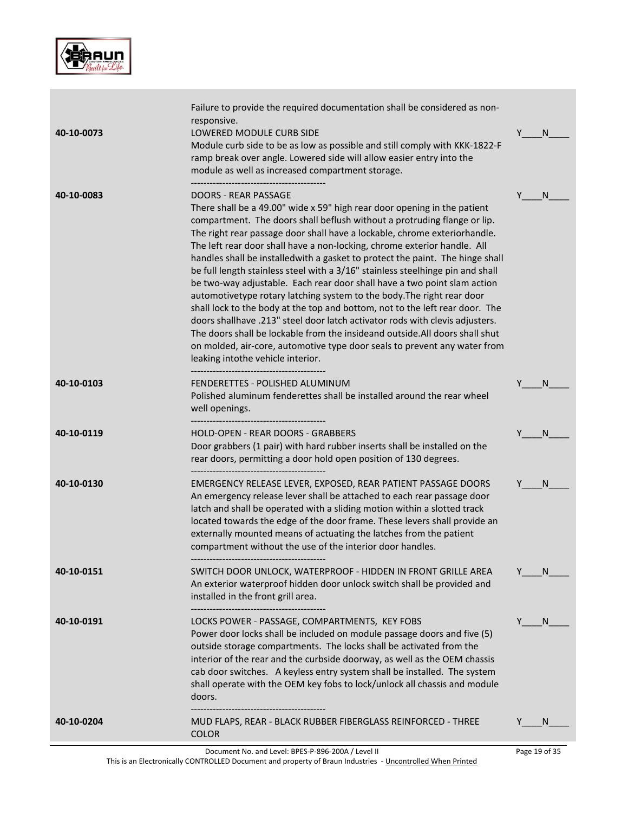

|            | -------------------------------                                                                                                                                                                                                                                                                                                                                                                                                                                                                                                                                                                                                                                                                                                                                                                                                                                                                                                                                                                                                         |     |    |
|------------|-----------------------------------------------------------------------------------------------------------------------------------------------------------------------------------------------------------------------------------------------------------------------------------------------------------------------------------------------------------------------------------------------------------------------------------------------------------------------------------------------------------------------------------------------------------------------------------------------------------------------------------------------------------------------------------------------------------------------------------------------------------------------------------------------------------------------------------------------------------------------------------------------------------------------------------------------------------------------------------------------------------------------------------------|-----|----|
| 40-10-0191 | LOCKS POWER - PASSAGE, COMPARTMENTS, KEY FOBS<br>Power door locks shall be included on module passage doors and five (5)<br>outside storage compartments. The locks shall be activated from the<br>interior of the rear and the curbside doorway, as well as the OEM chassis<br>cab door switches. A keyless entry system shall be installed. The system<br>shall operate with the OEM key fobs to lock/unlock all chassis and module<br>doors.                                                                                                                                                                                                                                                                                                                                                                                                                                                                                                                                                                                         | Y.  | N. |
| 40-10-0151 | SWITCH DOOR UNLOCK, WATERPROOF - HIDDEN IN FRONT GRILLE AREA<br>An exterior waterproof hidden door unlock switch shall be provided and<br>installed in the front grill area.                                                                                                                                                                                                                                                                                                                                                                                                                                                                                                                                                                                                                                                                                                                                                                                                                                                            | Y N |    |
| 40-10-0130 | EMERGENCY RELEASE LEVER, EXPOSED, REAR PATIENT PASSAGE DOORS<br>An emergency release lever shall be attached to each rear passage door<br>latch and shall be operated with a sliding motion within a slotted track<br>located towards the edge of the door frame. These levers shall provide an<br>externally mounted means of actuating the latches from the patient<br>compartment without the use of the interior door handles.                                                                                                                                                                                                                                                                                                                                                                                                                                                                                                                                                                                                      | Y   | N. |
| 40-10-0119 | <b>HOLD-OPEN - REAR DOORS - GRABBERS</b><br>Door grabbers (1 pair) with hard rubber inserts shall be installed on the<br>rear doors, permitting a door hold open position of 130 degrees.                                                                                                                                                                                                                                                                                                                                                                                                                                                                                                                                                                                                                                                                                                                                                                                                                                               | Y   | N  |
| 40-10-0103 | FENDERETTES - POLISHED ALUMINUM<br>Polished aluminum fenderettes shall be installed around the rear wheel<br>well openings.                                                                                                                                                                                                                                                                                                                                                                                                                                                                                                                                                                                                                                                                                                                                                                                                                                                                                                             | Y   | N  |
| 40-10-0083 | <b>DOORS - REAR PASSAGE</b><br>There shall be a 49.00" wide x 59" high rear door opening in the patient<br>compartment. The doors shall beflush without a protruding flange or lip.<br>The right rear passage door shall have a lockable, chrome exteriorhandle.<br>The left rear door shall have a non-locking, chrome exterior handle. All<br>handles shall be installedwith a gasket to protect the paint. The hinge shall<br>be full length stainless steel with a 3/16" stainless steelhinge pin and shall<br>be two-way adjustable. Each rear door shall have a two point slam action<br>automotivetype rotary latching system to the body. The right rear door<br>shall lock to the body at the top and bottom, not to the left rear door. The<br>doors shallhave .213" steel door latch activator rods with clevis adjusters.<br>The doors shall be lockable from the insideand outside. All doors shall shut<br>on molded, air-core, automotive type door seals to prevent any water from<br>leaking intothe vehicle interior. | Y   | N. |
| 40-10-0073 | Failure to provide the required documentation shall be considered as non-<br>responsive.<br>LOWERED MODULE CURB SIDE<br>Module curb side to be as low as possible and still comply with KKK-1822-F<br>ramp break over angle. Lowered side will allow easier entry into the<br>module as well as increased compartment storage.                                                                                                                                                                                                                                                                                                                                                                                                                                                                                                                                                                                                                                                                                                          | Y . | N. |

This is an Electronically CONTROLLED Document and property of Braun Industries - <u>Uncontrolled When Printed</u>

Page 19 of 35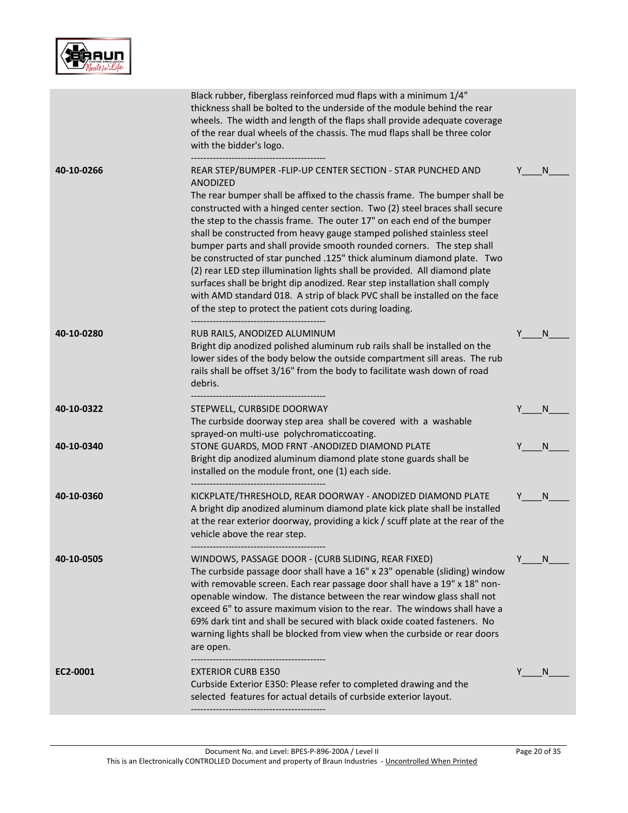

|            | Black rubber, fiberglass reinforced mud flaps with a minimum 1/4"<br>thickness shall be bolted to the underside of the module behind the rear<br>wheels. The width and length of the flaps shall provide adequate coverage<br>of the rear dual wheels of the chassis. The mud flaps shall be three color<br>with the bidder's logo.                                                                                                                                                                                                                                                                                                                                                                                                                                                                                                               |   |   |
|------------|---------------------------------------------------------------------------------------------------------------------------------------------------------------------------------------------------------------------------------------------------------------------------------------------------------------------------------------------------------------------------------------------------------------------------------------------------------------------------------------------------------------------------------------------------------------------------------------------------------------------------------------------------------------------------------------------------------------------------------------------------------------------------------------------------------------------------------------------------|---|---|
| 40-10-0266 | REAR STEP/BUMPER - FLIP-UP CENTER SECTION - STAR PUNCHED AND<br>ANODIZED<br>The rear bumper shall be affixed to the chassis frame. The bumper shall be<br>constructed with a hinged center section. Two (2) steel braces shall secure<br>the step to the chassis frame. The outer 17" on each end of the bumper<br>shall be constructed from heavy gauge stamped polished stainless steel<br>bumper parts and shall provide smooth rounded corners. The step shall<br>be constructed of star punched .125" thick aluminum diamond plate. Two<br>(2) rear LED step illumination lights shall be provided. All diamond plate<br>surfaces shall be bright dip anodized. Rear step installation shall comply<br>with AMD standard 018. A strip of black PVC shall be installed on the face<br>of the step to protect the patient cots during loading. | Y | N |
| 40-10-0280 | RUB RAILS, ANODIZED ALUMINUM<br>Bright dip anodized polished aluminum rub rails shall be installed on the<br>lower sides of the body below the outside compartment sill areas. The rub<br>rails shall be offset 3/16" from the body to facilitate wash down of road<br>debris.                                                                                                                                                                                                                                                                                                                                                                                                                                                                                                                                                                    |   | N |
| 40-10-0322 | STEPWELL, CURBSIDE DOORWAY<br>The curbside doorway step area shall be covered with a washable<br>sprayed-on multi-use polychromaticcoating.                                                                                                                                                                                                                                                                                                                                                                                                                                                                                                                                                                                                                                                                                                       |   | N |
| 40-10-0340 | STONE GUARDS, MOD FRNT - ANODIZED DIAMOND PLATE<br>Bright dip anodized aluminum diamond plate stone guards shall be<br>installed on the module front, one (1) each side.<br>                                                                                                                                                                                                                                                                                                                                                                                                                                                                                                                                                                                                                                                                      |   | N |
| 40-10-0360 | KICKPLATE/THRESHOLD, REAR DOORWAY - ANODIZED DIAMOND PLATE<br>A bright dip anodized aluminum diamond plate kick plate shall be installed<br>at the rear exterior doorway, providing a kick / scuff plate at the rear of the<br>vehicle above the rear step.                                                                                                                                                                                                                                                                                                                                                                                                                                                                                                                                                                                       | Y | N |
| 40-10-0505 | WINDOWS, PASSAGE DOOR - (CURB SLIDING, REAR FIXED)<br>The curbside passage door shall have a 16" x 23" openable (sliding) window<br>with removable screen. Each rear passage door shall have a 19" x 18" non-<br>openable window. The distance between the rear window glass shall not<br>exceed 6" to assure maximum vision to the rear. The windows shall have a<br>69% dark tint and shall be secured with black oxide coated fasteners. No<br>warning lights shall be blocked from view when the curbside or rear doors<br>are open.                                                                                                                                                                                                                                                                                                          | Y | N |
| EC2-0001   | <b>EXTERIOR CURB E350</b><br>Curbside Exterior E350: Please refer to completed drawing and the<br>selected features for actual details of curbside exterior layout.                                                                                                                                                                                                                                                                                                                                                                                                                                                                                                                                                                                                                                                                               |   | N |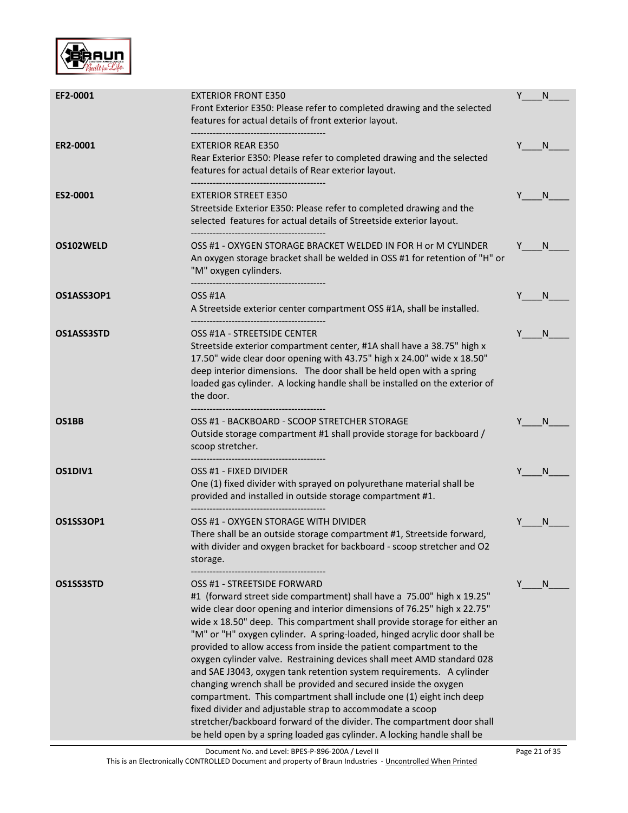

| EF2-0001         | <b>EXTERIOR FRONT E350</b><br>Front Exterior E350: Please refer to completed drawing and the selected<br>features for actual details of front exterior layout.                                                                                                                                                                                                                                                                                                                                                                                                                                                                                                                                                                                                                                                                                                                                                                 | Y | N            |
|------------------|--------------------------------------------------------------------------------------------------------------------------------------------------------------------------------------------------------------------------------------------------------------------------------------------------------------------------------------------------------------------------------------------------------------------------------------------------------------------------------------------------------------------------------------------------------------------------------------------------------------------------------------------------------------------------------------------------------------------------------------------------------------------------------------------------------------------------------------------------------------------------------------------------------------------------------|---|--------------|
| ER2-0001         | <b>EXTERIOR REAR E350</b><br>Rear Exterior E350: Please refer to completed drawing and the selected<br>features for actual details of Rear exterior layout.                                                                                                                                                                                                                                                                                                                                                                                                                                                                                                                                                                                                                                                                                                                                                                    | Y | N.           |
| ES2-0001         | <b>EXTERIOR STREET E350</b><br>Streetside Exterior E350: Please refer to completed drawing and the<br>selected features for actual details of Streetside exterior layout.                                                                                                                                                                                                                                                                                                                                                                                                                                                                                                                                                                                                                                                                                                                                                      |   | N.           |
| OS102WELD        | OSS #1 - OXYGEN STORAGE BRACKET WELDED IN FOR H or M CYLINDER<br>An oxygen storage bracket shall be welded in OSS #1 for retention of "H" or<br>"M" oxygen cylinders.                                                                                                                                                                                                                                                                                                                                                                                                                                                                                                                                                                                                                                                                                                                                                          |   | N.           |
| OS1ASS3OP1       | OSS #1A<br>A Streetside exterior center compartment OSS #1A, shall be installed.<br>-----------------------------------                                                                                                                                                                                                                                                                                                                                                                                                                                                                                                                                                                                                                                                                                                                                                                                                        |   | <sub>N</sub> |
| OS1ASS3STD       | OSS #1A - STREETSIDE CENTER<br>Streetside exterior compartment center, #1A shall have a 38.75" high x<br>17.50" wide clear door opening with 43.75" high x 24.00" wide x 18.50"<br>deep interior dimensions. The door shall be held open with a spring<br>loaded gas cylinder. A locking handle shall be installed on the exterior of<br>the door.<br>-----------------------------------                                                                                                                                                                                                                                                                                                                                                                                                                                                                                                                                      |   | <sup>N</sup> |
| OS1BB            | OSS #1 - BACKBOARD - SCOOP STRETCHER STORAGE<br>Outside storage compartment #1 shall provide storage for backboard /<br>scoop stretcher.                                                                                                                                                                                                                                                                                                                                                                                                                                                                                                                                                                                                                                                                                                                                                                                       |   | <sup>N</sup> |
| OS1DIV1          | OSS #1 - FIXED DIVIDER<br>One (1) fixed divider with sprayed on polyurethane material shall be<br>provided and installed in outside storage compartment #1.<br>-----------------------------------                                                                                                                                                                                                                                                                                                                                                                                                                                                                                                                                                                                                                                                                                                                             |   | N            |
| <b>OS1SS3OP1</b> | OSS #1 - OXYGEN STORAGE WITH DIVIDER<br>There shall be an outside storage compartment #1, Streetside forward,<br>with divider and oxygen bracket for backboard - scoop stretcher and O2<br>storage.                                                                                                                                                                                                                                                                                                                                                                                                                                                                                                                                                                                                                                                                                                                            |   | N            |
| OS1SS3STD        | OSS #1 - STREETSIDE FORWARD<br>#1 (forward street side compartment) shall have a 75.00" high x 19.25"<br>wide clear door opening and interior dimensions of 76.25" high x 22.75"<br>wide x 18.50" deep. This compartment shall provide storage for either an<br>"M" or "H" oxygen cylinder. A spring-loaded, hinged acrylic door shall be<br>provided to allow access from inside the patient compartment to the<br>oxygen cylinder valve. Restraining devices shall meet AMD standard 028<br>and SAE J3043, oxygen tank retention system requirements. A cylinder<br>changing wrench shall be provided and secured inside the oxygen<br>compartment. This compartment shall include one (1) eight inch deep<br>fixed divider and adjustable strap to accommodate a scoop<br>stretcher/backboard forward of the divider. The compartment door shall<br>be held open by a spring loaded gas cylinder. A locking handle shall be | Y | N            |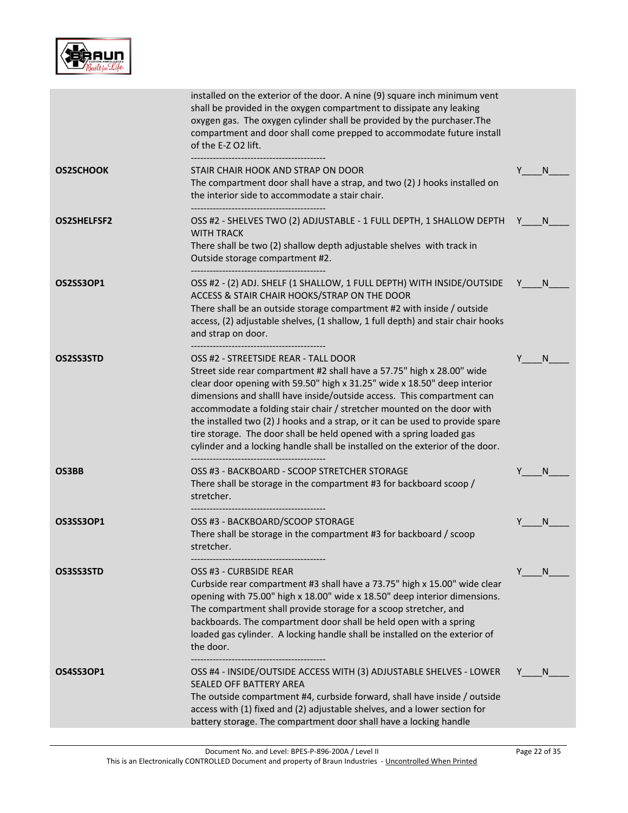

| installed on the exterior of the door. A nine (9) square inch minimum vent<br>shall be provided in the oxygen compartment to dissipate any leaking<br>oxygen gas. The oxygen cylinder shall be provided by the purchaser. The<br>compartment and door shall come prepped to accommodate future install<br>of the E-Z O2 lift.                                                                                                                                                                                                                                                            |                                                                            |
|------------------------------------------------------------------------------------------------------------------------------------------------------------------------------------------------------------------------------------------------------------------------------------------------------------------------------------------------------------------------------------------------------------------------------------------------------------------------------------------------------------------------------------------------------------------------------------------|----------------------------------------------------------------------------|
| STAIR CHAIR HOOK AND STRAP ON DOOR<br>The compartment door shall have a strap, and two (2) J hooks installed on<br>the interior side to accommodate a stair chair.                                                                                                                                                                                                                                                                                                                                                                                                                       | Y<br>N                                                                     |
| OSS #2 - SHELVES TWO (2) ADJUSTABLE - 1 FULL DEPTH, 1 SHALLOW DEPTH<br><b>WITH TRACK</b><br>There shall be two (2) shallow depth adjustable shelves with track in<br>Outside storage compartment #2.                                                                                                                                                                                                                                                                                                                                                                                     | N.<br>Y                                                                    |
| OSS #2 - (2) ADJ. SHELF (1 SHALLOW, 1 FULL DEPTH) WITH INSIDE/OUTSIDE<br>ACCESS & STAIR CHAIR HOOKS/STRAP ON THE DOOR<br>There shall be an outside storage compartment #2 with inside / outside<br>access, (2) adjustable shelves, (1 shallow, 1 full depth) and stair chair hooks<br>and strap on door.                                                                                                                                                                                                                                                                                 | N.                                                                         |
| OSS #2 - STREETSIDE REAR - TALL DOOR<br>Street side rear compartment #2 shall have a 57.75" high x 28.00" wide<br>clear door opening with 59.50" high x 31.25" wide x 18.50" deep interior<br>dimensions and shalll have inside/outside access. This compartment can<br>accommodate a folding stair chair / stretcher mounted on the door with<br>the installed two (2) J hooks and a strap, or it can be used to provide spare<br>tire storage. The door shall be held opened with a spring loaded gas<br>cylinder and a locking handle shall be installed on the exterior of the door. | N                                                                          |
| OSS #3 - BACKBOARD - SCOOP STRETCHER STORAGE<br>There shall be storage in the compartment #3 for backboard scoop /<br>stretcher.                                                                                                                                                                                                                                                                                                                                                                                                                                                         | N                                                                          |
| OSS #3 - BACKBOARD/SCOOP STORAGE<br>There shall be storage in the compartment #3 for backboard / scoop<br>stretcher.                                                                                                                                                                                                                                                                                                                                                                                                                                                                     | N                                                                          |
| OSS #3 - CURBSIDE REAR<br>Curbside rear compartment #3 shall have a 73.75" high x 15.00" wide clear<br>opening with 75.00" high x 18.00" wide x 18.50" deep interior dimensions.<br>The compartment shall provide storage for a scoop stretcher, and<br>backboards. The compartment door shall be held open with a spring<br>loaded gas cylinder. A locking handle shall be installed on the exterior of<br>the door.                                                                                                                                                                    | Y<br>N                                                                     |
| OSS #4 - INSIDE/OUTSIDE ACCESS WITH (3) ADJUSTABLE SHELVES - LOWER<br>SEALED OFF BATTERY AREA<br>The outside compartment #4, curbside forward, shall have inside / outside<br>access with (1) fixed and (2) adjustable shelves, and a lower section for<br>battery storage. The compartment door shall have a locking handle                                                                                                                                                                                                                                                             | N                                                                          |
|                                                                                                                                                                                                                                                                                                                                                                                                                                                                                                                                                                                          | -----------------------------------<br>----------------------------------- |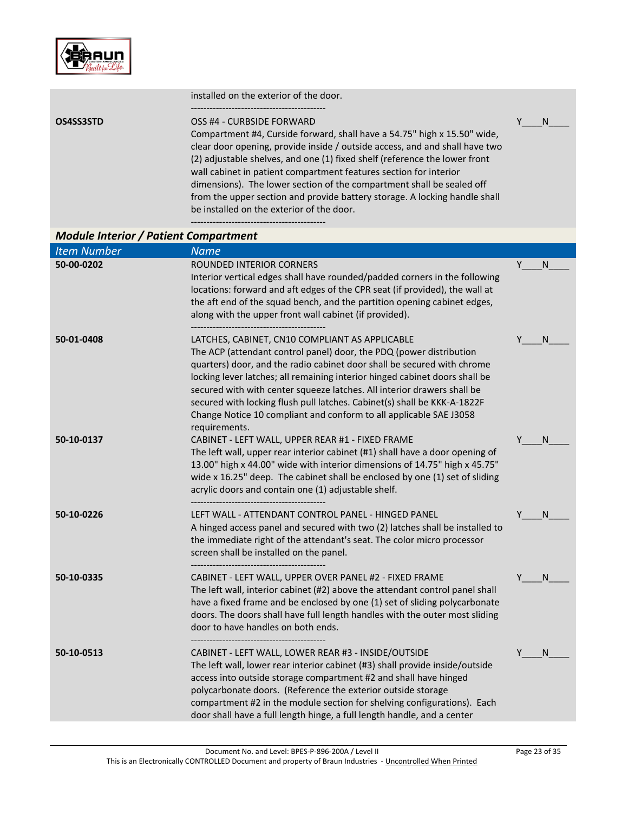

|           | installed on the exterior of the door.                                                                                                                                                                                                                                                                                                                                                                                                                                                         |  |  |
|-----------|------------------------------------------------------------------------------------------------------------------------------------------------------------------------------------------------------------------------------------------------------------------------------------------------------------------------------------------------------------------------------------------------------------------------------------------------------------------------------------------------|--|--|
| OS4SS3STD | OSS #4 - CURBSIDE FORWARD<br>Compartment #4, Curside forward, shall have a 54.75" high x 15.50" wide,<br>clear door opening, provide inside / outside access, and and shall have two<br>(2) adjustable shelves, and one (1) fixed shelf (reference the lower front<br>wall cabinet in patient compartment features section for interior<br>dimensions). The lower section of the compartment shall be sealed off<br>from the upper section and provide battery storage. A locking handle shall |  |  |
|           | be installed on the exterior of the door.                                                                                                                                                                                                                                                                                                                                                                                                                                                      |  |  |

-------------------------------------------

# *Module Interior / Patient Compartment*

| <b>Item Number</b> | <b>Name</b>                                                                                                                                                                                                                                                                                                                                                                                                                                                                                                                   |         |  |
|--------------------|-------------------------------------------------------------------------------------------------------------------------------------------------------------------------------------------------------------------------------------------------------------------------------------------------------------------------------------------------------------------------------------------------------------------------------------------------------------------------------------------------------------------------------|---------|--|
| 50-00-0202         | ROUNDED INTERIOR CORNERS<br>Interior vertical edges shall have rounded/padded corners in the following<br>locations: forward and aft edges of the CPR seat (if provided), the wall at<br>the aft end of the squad bench, and the partition opening cabinet edges,<br>along with the upper front wall cabinet (if provided).                                                                                                                                                                                                   | Y<br>N. |  |
| 50-01-0408         | LATCHES, CABINET, CN10 COMPLIANT AS APPLICABLE<br>The ACP (attendant control panel) door, the PDQ (power distribution<br>quarters) door, and the radio cabinet door shall be secured with chrome<br>locking lever latches; all remaining interior hinged cabinet doors shall be<br>secured with with center squeeze latches. All interior drawers shall be<br>secured with locking flush pull latches. Cabinet(s) shall be KKK-A-1822F<br>Change Notice 10 compliant and conform to all applicable SAE J3058<br>requirements. | N       |  |
| 50-10-0137         | CABINET - LEFT WALL, UPPER REAR #1 - FIXED FRAME<br>The left wall, upper rear interior cabinet (#1) shall have a door opening of<br>13.00" high x 44.00" wide with interior dimensions of 14.75" high x 45.75"<br>wide x 16.25" deep. The cabinet shall be enclosed by one (1) set of sliding<br>acrylic doors and contain one (1) adjustable shelf.                                                                                                                                                                          | N       |  |
| 50-10-0226         | LEFT WALL - ATTENDANT CONTROL PANEL - HINGED PANEL<br>A hinged access panel and secured with two (2) latches shall be installed to<br>the immediate right of the attendant's seat. The color micro processor<br>screen shall be installed on the panel.                                                                                                                                                                                                                                                                       | N       |  |
| 50-10-0335         | CABINET - LEFT WALL, UPPER OVER PANEL #2 - FIXED FRAME<br>The left wall, interior cabinet (#2) above the attendant control panel shall<br>have a fixed frame and be enclosed by one (1) set of sliding polycarbonate<br>doors. The doors shall have full length handles with the outer most sliding<br>door to have handles on both ends.                                                                                                                                                                                     | N       |  |
| 50-10-0513         | CABINET - LEFT WALL, LOWER REAR #3 - INSIDE/OUTSIDE<br>The left wall, lower rear interior cabinet (#3) shall provide inside/outside<br>access into outside storage compartment #2 and shall have hinged<br>polycarbonate doors. (Reference the exterior outside storage<br>compartment #2 in the module section for shelving configurations). Each<br>door shall have a full length hinge, a full length handle, and a center                                                                                                 | Y<br>N  |  |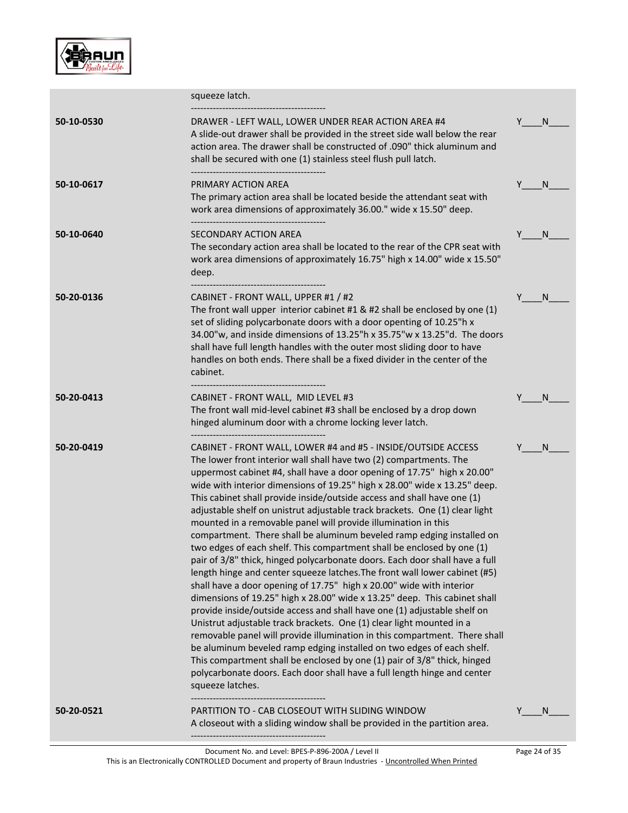

|            | squeeze latch.                                                                                                                                                                                                                                                                                                                                                                                                                                                                                                                                                                                                                                                                                                                                                                                                                                                                                                                                                                                                                                                                                                                                                                                                                                                                                                                                                                                                                                                                      |               |
|------------|-------------------------------------------------------------------------------------------------------------------------------------------------------------------------------------------------------------------------------------------------------------------------------------------------------------------------------------------------------------------------------------------------------------------------------------------------------------------------------------------------------------------------------------------------------------------------------------------------------------------------------------------------------------------------------------------------------------------------------------------------------------------------------------------------------------------------------------------------------------------------------------------------------------------------------------------------------------------------------------------------------------------------------------------------------------------------------------------------------------------------------------------------------------------------------------------------------------------------------------------------------------------------------------------------------------------------------------------------------------------------------------------------------------------------------------------------------------------------------------|---------------|
| 50-10-0530 | DRAWER - LEFT WALL, LOWER UNDER REAR ACTION AREA #4<br>A slide-out drawer shall be provided in the street side wall below the rear<br>action area. The drawer shall be constructed of .090" thick aluminum and<br>shall be secured with one (1) stainless steel flush pull latch.                                                                                                                                                                                                                                                                                                                                                                                                                                                                                                                                                                                                                                                                                                                                                                                                                                                                                                                                                                                                                                                                                                                                                                                                   | N             |
| 50-10-0617 | PRIMARY ACTION AREA<br>The primary action area shall be located beside the attendant seat with<br>work area dimensions of approximately 36.00." wide x 15.50" deep.<br>-----------------------------                                                                                                                                                                                                                                                                                                                                                                                                                                                                                                                                                                                                                                                                                                                                                                                                                                                                                                                                                                                                                                                                                                                                                                                                                                                                                | N<br>Y.       |
| 50-10-0640 | SECONDARY ACTION AREA<br>The secondary action area shall be located to the rear of the CPR seat with<br>work area dimensions of approximately 16.75" high x 14.00" wide x 15.50"<br>deep.                                                                                                                                                                                                                                                                                                                                                                                                                                                                                                                                                                                                                                                                                                                                                                                                                                                                                                                                                                                                                                                                                                                                                                                                                                                                                           | Y<br>N        |
| 50-20-0136 | CABINET - FRONT WALL, UPPER #1 / #2<br>The front wall upper interior cabinet $#1$ & $#2$ shall be enclosed by one (1)<br>set of sliding polycarbonate doors with a door openting of 10.25"h x<br>34.00"w, and inside dimensions of 13.25"h x 35.75"w x 13.25"d. The doors<br>shall have full length handles with the outer most sliding door to have<br>handles on both ends. There shall be a fixed divider in the center of the<br>cabinet.                                                                                                                                                                                                                                                                                                                                                                                                                                                                                                                                                                                                                                                                                                                                                                                                                                                                                                                                                                                                                                       | Y<br>N        |
| 50-20-0413 | CABINET - FRONT WALL, MID LEVEL #3<br>The front wall mid-level cabinet #3 shall be enclosed by a drop down<br>hinged aluminum door with a chrome locking lever latch.                                                                                                                                                                                                                                                                                                                                                                                                                                                                                                                                                                                                                                                                                                                                                                                                                                                                                                                                                                                                                                                                                                                                                                                                                                                                                                               | N             |
| 50-20-0419 | CABINET - FRONT WALL, LOWER #4 and #5 - INSIDE/OUTSIDE ACCESS<br>The lower front interior wall shall have two (2) compartments. The<br>uppermost cabinet #4, shall have a door opening of 17.75" high x 20.00"<br>wide with interior dimensions of 19.25" high x 28.00" wide x 13.25" deep.<br>This cabinet shall provide inside/outside access and shall have one (1)<br>adjustable shelf on unistrut adjustable track brackets. One (1) clear light<br>mounted in a removable panel will provide illumination in this<br>compartment. There shall be aluminum beveled ramp edging installed on<br>two edges of each shelf. This compartment shall be enclosed by one (1)<br>pair of 3/8" thick, hinged polycarbonate doors. Each door shall have a full<br>length hinge and center squeeze latches. The front wall lower cabinet (#5)<br>shall have a door opening of 17.75" high x 20.00" wide with interior<br>dimensions of 19.25" high x 28.00" wide x 13.25" deep. This cabinet shall<br>provide inside/outside access and shall have one (1) adjustable shelf on<br>Unistrut adjustable track brackets. One (1) clear light mounted in a<br>removable panel will provide illumination in this compartment. There shall<br>be aluminum beveled ramp edging installed on two edges of each shelf.<br>This compartment shall be enclosed by one (1) pair of 3/8" thick, hinged<br>polycarbonate doors. Each door shall have a full length hinge and center<br>squeeze latches. | N             |
| 50-20-0521 | PARTITION TO - CAB CLOSEOUT WITH SLIDING WINDOW<br>A closeout with a sliding window shall be provided in the partition area.                                                                                                                                                                                                                                                                                                                                                                                                                                                                                                                                                                                                                                                                                                                                                                                                                                                                                                                                                                                                                                                                                                                                                                                                                                                                                                                                                        | Y<br>N        |
|            | Document No. and Level: BPES-P-896-200A / Level II                                                                                                                                                                                                                                                                                                                                                                                                                                                                                                                                                                                                                                                                                                                                                                                                                                                                                                                                                                                                                                                                                                                                                                                                                                                                                                                                                                                                                                  | Page 24 of 35 |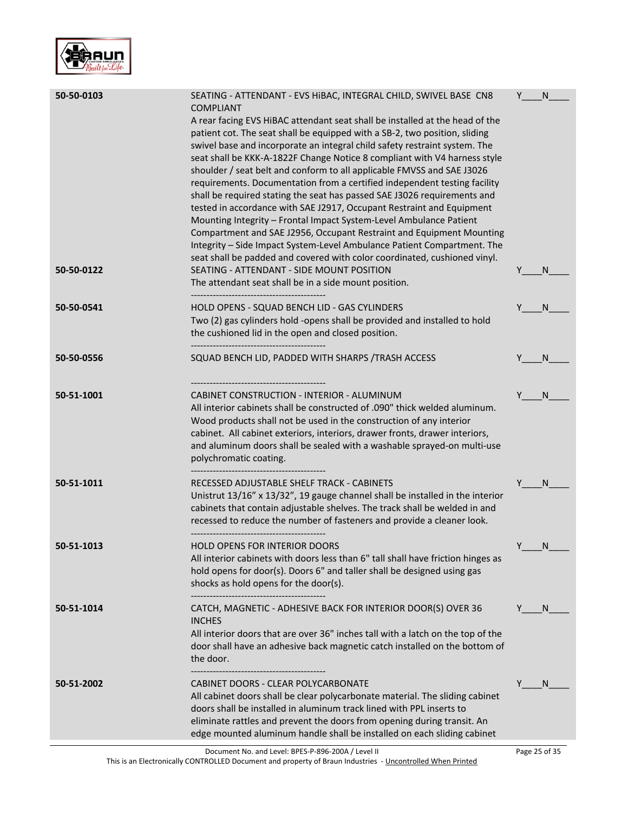

| 50-50-0103 | SEATING - ATTENDANT - EVS HIBAC, INTEGRAL CHILD, SWIVEL BASE CN8<br><b>COMPLIANT</b><br>A rear facing EVS HiBAC attendant seat shall be installed at the head of the<br>patient cot. The seat shall be equipped with a SB-2, two position, sliding<br>swivel base and incorporate an integral child safety restraint system. The<br>seat shall be KKK-A-1822F Change Notice 8 compliant with V4 harness style<br>shoulder / seat belt and conform to all applicable FMVSS and SAE J3026<br>requirements. Documentation from a certified independent testing facility<br>shall be required stating the seat has passed SAE J3026 requirements and<br>tested in accordance with SAE J2917, Occupant Restraint and Equipment<br>Mounting Integrity - Frontal Impact System-Level Ambulance Patient<br>Compartment and SAE J2956, Occupant Restraint and Equipment Mounting<br>Integrity - Side Impact System-Level Ambulance Patient Compartment. The<br>seat shall be padded and covered with color coordinated, cushioned vinyl. |        | N  |
|------------|---------------------------------------------------------------------------------------------------------------------------------------------------------------------------------------------------------------------------------------------------------------------------------------------------------------------------------------------------------------------------------------------------------------------------------------------------------------------------------------------------------------------------------------------------------------------------------------------------------------------------------------------------------------------------------------------------------------------------------------------------------------------------------------------------------------------------------------------------------------------------------------------------------------------------------------------------------------------------------------------------------------------------------|--------|----|
| 50-50-0122 | SEATING - ATTENDANT - SIDE MOUNT POSITION<br>The attendant seat shall be in a side mount position.                                                                                                                                                                                                                                                                                                                                                                                                                                                                                                                                                                                                                                                                                                                                                                                                                                                                                                                              |        | N  |
| 50-50-0541 | HOLD OPENS - SQUAD BENCH LID - GAS CYLINDERS<br>Two (2) gas cylinders hold -opens shall be provided and installed to hold<br>the cushioned lid in the open and closed position.<br>-----------------------------------                                                                                                                                                                                                                                                                                                                                                                                                                                                                                                                                                                                                                                                                                                                                                                                                          |        | N  |
| 50-50-0556 | SQUAD BENCH LID, PADDED WITH SHARPS / TRASH ACCESS                                                                                                                                                                                                                                                                                                                                                                                                                                                                                                                                                                                                                                                                                                                                                                                                                                                                                                                                                                              |        | N  |
| 50-51-1001 | CABINET CONSTRUCTION - INTERIOR - ALUMINUM<br>All interior cabinets shall be constructed of .090" thick welded aluminum.<br>Wood products shall not be used in the construction of any interior<br>cabinet. All cabinet exteriors, interiors, drawer fronts, drawer interiors,<br>and aluminum doors shall be sealed with a washable sprayed-on multi-use<br>polychromatic coating.                                                                                                                                                                                                                                                                                                                                                                                                                                                                                                                                                                                                                                             | Y      | N  |
| 50-51-1011 | RECESSED ADJUSTABLE SHELF TRACK - CABINETS<br>Unistrut 13/16" x 13/32", 19 gauge channel shall be installed in the interior<br>cabinets that contain adjustable shelves. The track shall be welded in and<br>recessed to reduce the number of fasteners and provide a cleaner look.                                                                                                                                                                                                                                                                                                                                                                                                                                                                                                                                                                                                                                                                                                                                             |        | N  |
| 50-51-1013 | HOLD OPENS FOR INTERIOR DOORS<br>All interior cabinets with doors less than 6" tall shall have friction hinges as<br>hold opens for door(s). Doors 6" and taller shall be designed using gas<br>shocks as hold opens for the door(s).                                                                                                                                                                                                                                                                                                                                                                                                                                                                                                                                                                                                                                                                                                                                                                                           | $\vee$ | N. |
| 50-51-1014 | CATCH, MAGNETIC - ADHESIVE BACK FOR INTERIOR DOOR(S) OVER 36<br><b>INCHES</b><br>All interior doors that are over 36" inches tall with a latch on the top of the<br>door shall have an adhesive back magnetic catch installed on the bottom of<br>the door.                                                                                                                                                                                                                                                                                                                                                                                                                                                                                                                                                                                                                                                                                                                                                                     |        | N  |
| 50-51-2002 | CABINET DOORS - CLEAR POLYCARBONATE<br>All cabinet doors shall be clear polycarbonate material. The sliding cabinet<br>doors shall be installed in aluminum track lined with PPL inserts to<br>eliminate rattles and prevent the doors from opening during transit. An<br>edge mounted aluminum handle shall be installed on each sliding cabinet                                                                                                                                                                                                                                                                                                                                                                                                                                                                                                                                                                                                                                                                               |        | N  |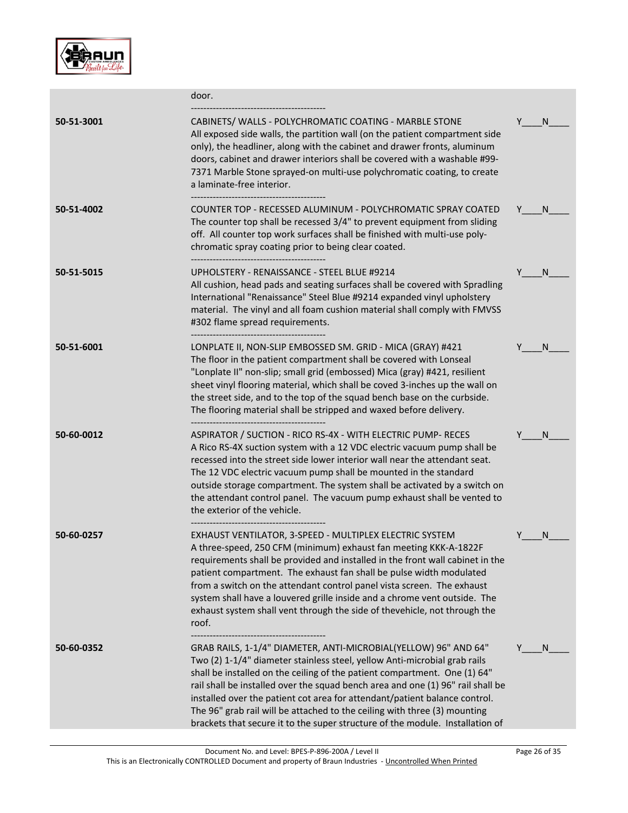

|            | door.                                                                                                                                                                                                                                                                                                                                                                                                                                                                                                                                                    |                   |
|------------|----------------------------------------------------------------------------------------------------------------------------------------------------------------------------------------------------------------------------------------------------------------------------------------------------------------------------------------------------------------------------------------------------------------------------------------------------------------------------------------------------------------------------------------------------------|-------------------|
| 50-51-3001 | CABINETS/ WALLS - POLYCHROMATIC COATING - MARBLE STONE<br>All exposed side walls, the partition wall (on the patient compartment side<br>only), the headliner, along with the cabinet and drawer fronts, aluminum<br>doors, cabinet and drawer interiors shall be covered with a washable #99-<br>7371 Marble Stone sprayed-on multi-use polychromatic coating, to create<br>a laminate-free interior.                                                                                                                                                   | N.                |
| 50-51-4002 | COUNTER TOP - RECESSED ALUMINUM - POLYCHROMATIC SPRAY COATED<br>The counter top shall be recessed 3/4" to prevent equipment from sliding<br>off. All counter top work surfaces shall be finished with multi-use poly-<br>chromatic spray coating prior to being clear coated.                                                                                                                                                                                                                                                                            | <sub>N</sub><br>Y |
| 50-51-5015 | UPHOLSTERY - RENAISSANCE - STEEL BLUE #9214<br>All cushion, head pads and seating surfaces shall be covered with Spradling<br>International "Renaissance" Steel Blue #9214 expanded vinyl upholstery<br>material. The vinyl and all foam cushion material shall comply with FMVSS<br>#302 flame spread requirements.                                                                                                                                                                                                                                     | Y<br>N.           |
| 50-51-6001 | LONPLATE II, NON-SLIP EMBOSSED SM. GRID - MICA (GRAY) #421<br>The floor in the patient compartment shall be covered with Lonseal<br>"Lonplate II" non-slip; small grid (embossed) Mica (gray) #421, resilient<br>sheet vinyl flooring material, which shall be coved 3-inches up the wall on<br>the street side, and to the top of the squad bench base on the curbside.<br>The flooring material shall be stripped and waxed before delivery.                                                                                                           | N                 |
| 50-60-0012 | ----------------------------------<br>ASPIRATOR / SUCTION - RICO RS-4X - WITH ELECTRIC PUMP- RECES<br>A Rico RS-4X suction system with a 12 VDC electric vacuum pump shall be<br>recessed into the street side lower interior wall near the attendant seat.<br>The 12 VDC electric vacuum pump shall be mounted in the standard<br>outside storage compartment. The system shall be activated by a switch on<br>the attendant control panel. The vacuum pump exhaust shall be vented to<br>the exterior of the vehicle.                                  | N                 |
| 50-60-0257 | EXHAUST VENTILATOR, 3-SPEED - MULTIPLEX ELECTRIC SYSTEM<br>A three-speed, 250 CFM (minimum) exhaust fan meeting KKK-A-1822F<br>requirements shall be provided and installed in the front wall cabinet in the<br>patient compartment. The exhaust fan shall be pulse width modulated<br>from a switch on the attendant control panel vista screen. The exhaust<br>system shall have a louvered grille inside and a chrome vent outside. The<br>exhaust system shall vent through the side of thevehicle, not through the<br>roof.                         |                   |
| 50-60-0352 | GRAB RAILS, 1-1/4" DIAMETER, ANTI-MICROBIAL(YELLOW) 96" AND 64"<br>Two (2) 1-1/4" diameter stainless steel, yellow Anti-microbial grab rails<br>shall be installed on the ceiling of the patient compartment. One (1) 64"<br>rail shall be installed over the squad bench area and one (1) 96" rail shall be<br>installed over the patient cot area for attendant/patient balance control.<br>The 96" grab rail will be attached to the ceiling with three (3) mounting<br>brackets that secure it to the super structure of the module. Installation of | N.                |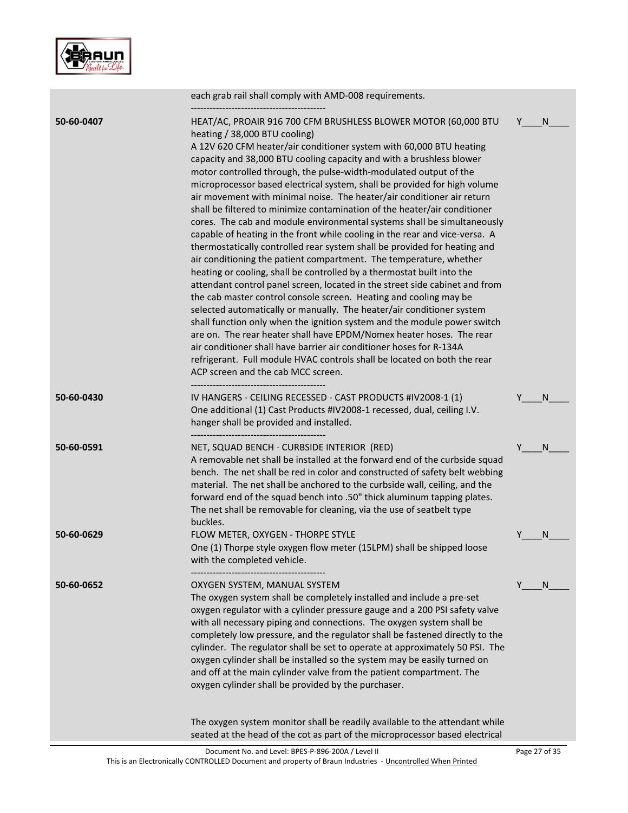

| HEAT/AC, PROAIR 916 700 CFM BRUSHLESS BLOWER MOTOR (60,000 BTU<br>50-60-0407<br>Y<br>heating / 38,000 BTU cooling)<br>A 12V 620 CFM heater/air conditioner system with 60,000 BTU heating<br>capacity and 38,000 BTU cooling capacity and with a brushless blower<br>motor controlled through, the pulse-width-modulated output of the<br>microprocessor based electrical system, shall be provided for high volume<br>air movement with minimal noise. The heater/air conditioner air return<br>shall be filtered to minimize contamination of the heater/air conditioner<br>cores. The cab and module environmental systems shall be simultaneously<br>capable of heating in the front while cooling in the rear and vice-versa. A<br>thermostatically controlled rear system shall be provided for heating and<br>air conditioning the patient compartment. The temperature, whether<br>heating or cooling, shall be controlled by a thermostat built into the<br>attendant control panel screen, located in the street side cabinet and from<br>the cab master control console screen. Heating and cooling may be<br>selected automatically or manually. The heater/air conditioner system<br>shall function only when the ignition system and the module power switch<br>are on. The rear heater shall have EPDM/Nomex heater hoses. The rear<br>air conditioner shall have barrier air conditioner hoses for R-134A<br>refrigerant. Full module HVAC controls shall be located on both the rear<br>ACP screen and the cab MCC screen.<br>50-60-0430<br>IV HANGERS - CEILING RECESSED - CAST PRODUCTS #IV2008-1 (1)<br>One additional (1) Cast Products #IV2008-1 recessed, dual, ceiling I.V.<br>hanger shall be provided and installed.<br>50-60-0591<br>NET, SQUAD BENCH - CURBSIDE INTERIOR (RED)<br>Y<br>A removable net shall be installed at the forward end of the curbside squad<br>bench. The net shall be red in color and constructed of safety belt webbing<br>material. The net shall be anchored to the curbside wall, ceiling, and the<br>forward end of the squad bench into .50" thick aluminum tapping plates.<br>The net shall be removable for cleaning, via the use of seatbelt type<br>buckles.<br>FLOW METER, OXYGEN - THORPE STYLE<br>50-60-0629<br>One (1) Thorpe style oxygen flow meter (15LPM) shall be shipped loose<br>with the completed vehicle. | each grab rail shall comply with AMD-008 requirements. |   |
|----------------------------------------------------------------------------------------------------------------------------------------------------------------------------------------------------------------------------------------------------------------------------------------------------------------------------------------------------------------------------------------------------------------------------------------------------------------------------------------------------------------------------------------------------------------------------------------------------------------------------------------------------------------------------------------------------------------------------------------------------------------------------------------------------------------------------------------------------------------------------------------------------------------------------------------------------------------------------------------------------------------------------------------------------------------------------------------------------------------------------------------------------------------------------------------------------------------------------------------------------------------------------------------------------------------------------------------------------------------------------------------------------------------------------------------------------------------------------------------------------------------------------------------------------------------------------------------------------------------------------------------------------------------------------------------------------------------------------------------------------------------------------------------------------------------------------------------------------------------------------------------------------------------------------------------------------------------------------------------------------------------------------------------------------------------------------------------------------------------------------------------------------------------------------------------------------------------------------------------------------------------------------------------------------------------------------------------------------------------------------------------|--------------------------------------------------------|---|
|                                                                                                                                                                                                                                                                                                                                                                                                                                                                                                                                                                                                                                                                                                                                                                                                                                                                                                                                                                                                                                                                                                                                                                                                                                                                                                                                                                                                                                                                                                                                                                                                                                                                                                                                                                                                                                                                                                                                                                                                                                                                                                                                                                                                                                                                                                                                                                                        |                                                        | N |
|                                                                                                                                                                                                                                                                                                                                                                                                                                                                                                                                                                                                                                                                                                                                                                                                                                                                                                                                                                                                                                                                                                                                                                                                                                                                                                                                                                                                                                                                                                                                                                                                                                                                                                                                                                                                                                                                                                                                                                                                                                                                                                                                                                                                                                                                                                                                                                                        |                                                        | N |
|                                                                                                                                                                                                                                                                                                                                                                                                                                                                                                                                                                                                                                                                                                                                                                                                                                                                                                                                                                                                                                                                                                                                                                                                                                                                                                                                                                                                                                                                                                                                                                                                                                                                                                                                                                                                                                                                                                                                                                                                                                                                                                                                                                                                                                                                                                                                                                                        |                                                        | N |
|                                                                                                                                                                                                                                                                                                                                                                                                                                                                                                                                                                                                                                                                                                                                                                                                                                                                                                                                                                                                                                                                                                                                                                                                                                                                                                                                                                                                                                                                                                                                                                                                                                                                                                                                                                                                                                                                                                                                                                                                                                                                                                                                                                                                                                                                                                                                                                                        |                                                        | N |
| OXYGEN SYSTEM, MANUAL SYSTEM<br>50-60-0652<br>Y<br>The oxygen system shall be completely installed and include a pre-set<br>oxygen regulator with a cylinder pressure gauge and a 200 PSI safety valve<br>with all necessary piping and connections. The oxygen system shall be<br>completely low pressure, and the regulator shall be fastened directly to the<br>cylinder. The regulator shall be set to operate at approximately 50 PSI. The<br>oxygen cylinder shall be installed so the system may be easily turned on<br>and off at the main cylinder valve from the patient compartment. The<br>oxygen cylinder shall be provided by the purchaser.<br>The oxygen system monitor shall be readily available to the attendant while<br>seated at the head of the cot as part of the microprocessor based electrical                                                                                                                                                                                                                                                                                                                                                                                                                                                                                                                                                                                                                                                                                                                                                                                                                                                                                                                                                                                                                                                                                                                                                                                                                                                                                                                                                                                                                                                                                                                                                              |                                                        | N |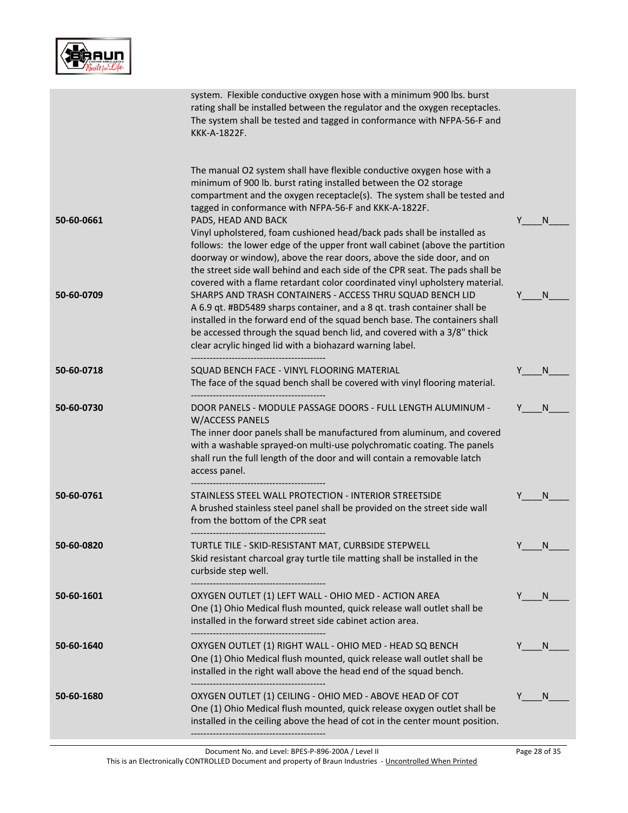|--|

|            | system. Flexible conductive oxygen hose with a minimum 900 lbs. burst<br>rating shall be installed between the regulator and the oxygen receptacles.<br>The system shall be tested and tagged in conformance with NFPA-56-F and<br>KKK-A-1822F.                                                                                                                                                                                                                                                                                                                   |    |    |
|------------|-------------------------------------------------------------------------------------------------------------------------------------------------------------------------------------------------------------------------------------------------------------------------------------------------------------------------------------------------------------------------------------------------------------------------------------------------------------------------------------------------------------------------------------------------------------------|----|----|
| 50-60-0661 | The manual O2 system shall have flexible conductive oxygen hose with a<br>minimum of 900 lb. burst rating installed between the O2 storage<br>compartment and the oxygen receptacle(s). The system shall be tested and<br>tagged in conformance with NFPA-56-F and KKK-A-1822F.<br>PADS, HEAD AND BACK<br>Vinyl upholstered, foam cushioned head/back pads shall be installed as<br>follows: the lower edge of the upper front wall cabinet (above the partition<br>doorway or window), above the rear doors, above the side door, and on                         |    | N  |
| 50-60-0709 | the street side wall behind and each side of the CPR seat. The pads shall be<br>covered with a flame retardant color coordinated vinyl upholstery material.<br>SHARPS AND TRASH CONTAINERS - ACCESS THRU SQUAD BENCH LID<br>A 6.9 qt. #BD5489 sharps container, and a 8 qt. trash container shall be<br>installed in the forward end of the squad bench base. The containers shall<br>be accessed through the squad bench lid, and covered with a 3/8" thick<br>clear acrylic hinged lid with a biohazard warning label.<br>------------------------------------- |    | N. |
| 50-60-0718 | SQUAD BENCH FACE - VINYL FLOORING MATERIAL<br>The face of the squad bench shall be covered with vinyl flooring material.                                                                                                                                                                                                                                                                                                                                                                                                                                          |    | N  |
| 50-60-0730 | DOOR PANELS - MODULE PASSAGE DOORS - FULL LENGTH ALUMINUM -<br>W/ACCESS PANELS<br>The inner door panels shall be manufactured from aluminum, and covered<br>with a washable sprayed-on multi-use polychromatic coating. The panels<br>shall run the full length of the door and will contain a removable latch<br>access panel.                                                                                                                                                                                                                                   |    | N  |
| 50-60-0761 | STAINLESS STEEL WALL PROTECTION - INTERIOR STREETSIDE<br>A brushed stainless steel panel shall be provided on the street side wall<br>from the bottom of the CPR seat                                                                                                                                                                                                                                                                                                                                                                                             |    | N  |
| 50-60-0820 | TURTLE TILE - SKID-RESISTANT MAT, CURBSIDE STEPWELL<br>Skid resistant charcoal gray turtle tile matting shall be installed in the<br>curbside step well.                                                                                                                                                                                                                                                                                                                                                                                                          | Y  | N  |
| 50-60-1601 | OXYGEN OUTLET (1) LEFT WALL - OHIO MED - ACTION AREA<br>One (1) Ohio Medical flush mounted, quick release wall outlet shall be<br>installed in the forward street side cabinet action area.                                                                                                                                                                                                                                                                                                                                                                       | Y. | N. |
| 50-60-1640 | OXYGEN OUTLET (1) RIGHT WALL - OHIO MED - HEAD SQ BENCH<br>One (1) Ohio Medical flush mounted, quick release wall outlet shall be<br>installed in the right wall above the head end of the squad bench.                                                                                                                                                                                                                                                                                                                                                           |    | N. |
| 50-60-1680 | OXYGEN OUTLET (1) CEILING - OHIO MED - ABOVE HEAD OF COT<br>One (1) Ohio Medical flush mounted, quick release oxygen outlet shall be<br>installed in the ceiling above the head of cot in the center mount position.                                                                                                                                                                                                                                                                                                                                              |    | N  |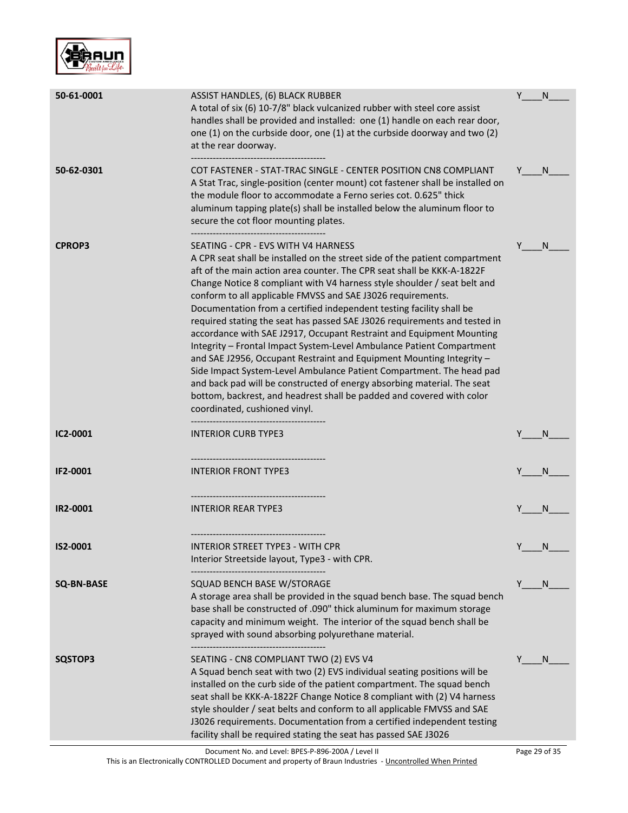

| 50-61-0001        | ASSIST HANDLES, (6) BLACK RUBBER<br>A total of six (6) 10-7/8" black vulcanized rubber with steel core assist<br>handles shall be provided and installed: one (1) handle on each rear door,<br>one (1) on the curbside door, one (1) at the curbside doorway and two (2)<br>at the rear doorway.                                                                                                                                                                                                                                                                                                                                                                                                                                                                                                                                                                                                                                                                                   | Y | N  |
|-------------------|------------------------------------------------------------------------------------------------------------------------------------------------------------------------------------------------------------------------------------------------------------------------------------------------------------------------------------------------------------------------------------------------------------------------------------------------------------------------------------------------------------------------------------------------------------------------------------------------------------------------------------------------------------------------------------------------------------------------------------------------------------------------------------------------------------------------------------------------------------------------------------------------------------------------------------------------------------------------------------|---|----|
| 50-62-0301        | COT FASTENER - STAT-TRAC SINGLE - CENTER POSITION CN8 COMPLIANT<br>A Stat Trac, single-position (center mount) cot fastener shall be installed on<br>the module floor to accommodate a Ferno series cot. 0.625" thick<br>aluminum tapping plate(s) shall be installed below the aluminum floor to<br>secure the cot floor mounting plates.                                                                                                                                                                                                                                                                                                                                                                                                                                                                                                                                                                                                                                         | Y | N. |
| <b>CPROP3</b>     | SEATING - CPR - EVS WITH V4 HARNESS<br>A CPR seat shall be installed on the street side of the patient compartment<br>aft of the main action area counter. The CPR seat shall be KKK-A-1822F<br>Change Notice 8 compliant with V4 harness style shoulder / seat belt and<br>conform to all applicable FMVSS and SAE J3026 requirements.<br>Documentation from a certified independent testing facility shall be<br>required stating the seat has passed SAE J3026 requirements and tested in<br>accordance with SAE J2917, Occupant Restraint and Equipment Mounting<br>Integrity - Frontal Impact System-Level Ambulance Patient Compartment<br>and SAE J2956, Occupant Restraint and Equipment Mounting Integrity -<br>Side Impact System-Level Ambulance Patient Compartment. The head pad<br>and back pad will be constructed of energy absorbing material. The seat<br>bottom, backrest, and headrest shall be padded and covered with color<br>coordinated, cushioned vinyl. | Y | N  |
| IC2-0001          | <b>INTERIOR CURB TYPE3</b><br>                                                                                                                                                                                                                                                                                                                                                                                                                                                                                                                                                                                                                                                                                                                                                                                                                                                                                                                                                     |   | N  |
| IF2-0001          | <b>INTERIOR FRONT TYPE3</b>                                                                                                                                                                                                                                                                                                                                                                                                                                                                                                                                                                                                                                                                                                                                                                                                                                                                                                                                                        |   | N  |
| IR2-0001          | <b>INTERIOR REAR TYPE3</b>                                                                                                                                                                                                                                                                                                                                                                                                                                                                                                                                                                                                                                                                                                                                                                                                                                                                                                                                                         |   | N  |
| IS2-0001          | INTERIOR STREET TYPE3 - WITH CPR<br>Interior Streetside layout, Type3 - with CPR.                                                                                                                                                                                                                                                                                                                                                                                                                                                                                                                                                                                                                                                                                                                                                                                                                                                                                                  | Y | N  |
| <b>SQ-BN-BASE</b> | SQUAD BENCH BASE W/STORAGE<br>A storage area shall be provided in the squad bench base. The squad bench<br>base shall be constructed of .090" thick aluminum for maximum storage<br>capacity and minimum weight. The interior of the squad bench shall be<br>sprayed with sound absorbing polyurethane material.                                                                                                                                                                                                                                                                                                                                                                                                                                                                                                                                                                                                                                                                   | Y | N  |
| SQSTOP3           | SEATING - CN8 COMPLIANT TWO (2) EVS V4<br>A Squad bench seat with two (2) EVS individual seating positions will be<br>installed on the curb side of the patient compartment. The squad bench<br>seat shall be KKK-A-1822F Change Notice 8 compliant with (2) V4 harness<br>style shoulder / seat belts and conform to all applicable FMVSS and SAE<br>J3026 requirements. Documentation from a certified independent testing<br>facility shall be required stating the seat has passed SAE J3026                                                                                                                                                                                                                                                                                                                                                                                                                                                                                   |   | N  |

This is an Electronically CONTROLLED Document and property of Braun Industries - Uncontrolled When Printed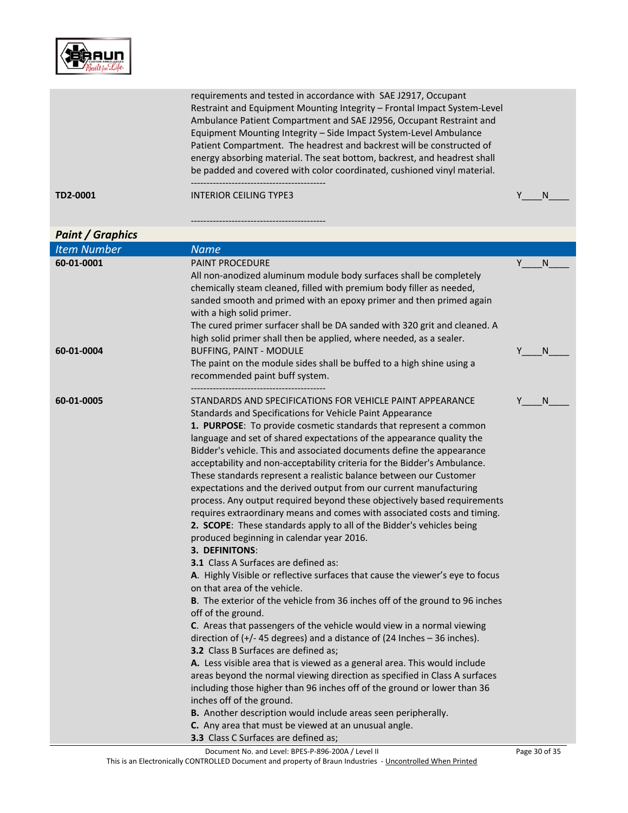

|                         | Restraint and Equipment Mounting Integrity - Frontal Impact System-Level<br>Ambulance Patient Compartment and SAE J2956, Occupant Restraint and<br>Equipment Mounting Integrity - Side Impact System-Level Ambulance<br>Patient Compartment. The headrest and backrest will be constructed of<br>energy absorbing material. The seat bottom, backrest, and headrest shall<br>be padded and covered with color coordinated, cushioned vinyl material.                                                                                                                                                                                                                                                                                                                                                                                                                                                                                                                                                                                                                                                                                                                                                                                                                                                                                                                                                                                                                                                                                                                                                                                                                                                                                                                                                                                    |   |              |
|-------------------------|-----------------------------------------------------------------------------------------------------------------------------------------------------------------------------------------------------------------------------------------------------------------------------------------------------------------------------------------------------------------------------------------------------------------------------------------------------------------------------------------------------------------------------------------------------------------------------------------------------------------------------------------------------------------------------------------------------------------------------------------------------------------------------------------------------------------------------------------------------------------------------------------------------------------------------------------------------------------------------------------------------------------------------------------------------------------------------------------------------------------------------------------------------------------------------------------------------------------------------------------------------------------------------------------------------------------------------------------------------------------------------------------------------------------------------------------------------------------------------------------------------------------------------------------------------------------------------------------------------------------------------------------------------------------------------------------------------------------------------------------------------------------------------------------------------------------------------------------|---|--------------|
| TD2-0001                | <b>INTERIOR CEILING TYPE3</b>                                                                                                                                                                                                                                                                                                                                                                                                                                                                                                                                                                                                                                                                                                                                                                                                                                                                                                                                                                                                                                                                                                                                                                                                                                                                                                                                                                                                                                                                                                                                                                                                                                                                                                                                                                                                           | Υ | <sub>N</sub> |
|                         |                                                                                                                                                                                                                                                                                                                                                                                                                                                                                                                                                                                                                                                                                                                                                                                                                                                                                                                                                                                                                                                                                                                                                                                                                                                                                                                                                                                                                                                                                                                                                                                                                                                                                                                                                                                                                                         |   |              |
| <b>Paint / Graphics</b> |                                                                                                                                                                                                                                                                                                                                                                                                                                                                                                                                                                                                                                                                                                                                                                                                                                                                                                                                                                                                                                                                                                                                                                                                                                                                                                                                                                                                                                                                                                                                                                                                                                                                                                                                                                                                                                         |   |              |
| <b>Item Number</b>      | <b>Name</b>                                                                                                                                                                                                                                                                                                                                                                                                                                                                                                                                                                                                                                                                                                                                                                                                                                                                                                                                                                                                                                                                                                                                                                                                                                                                                                                                                                                                                                                                                                                                                                                                                                                                                                                                                                                                                             |   |              |
| 60-01-0001              | <b>PAINT PROCEDURE</b>                                                                                                                                                                                                                                                                                                                                                                                                                                                                                                                                                                                                                                                                                                                                                                                                                                                                                                                                                                                                                                                                                                                                                                                                                                                                                                                                                                                                                                                                                                                                                                                                                                                                                                                                                                                                                  | Y | <sup>N</sup> |
|                         | All non-anodized aluminum module body surfaces shall be completely<br>chemically steam cleaned, filled with premium body filler as needed,<br>sanded smooth and primed with an epoxy primer and then primed again<br>with a high solid primer.<br>The cured primer surfacer shall be DA sanded with 320 grit and cleaned. A<br>high solid primer shall then be applied, where needed, as a sealer.                                                                                                                                                                                                                                                                                                                                                                                                                                                                                                                                                                                                                                                                                                                                                                                                                                                                                                                                                                                                                                                                                                                                                                                                                                                                                                                                                                                                                                      |   |              |
| 60-01-0004              | <b>BUFFING, PAINT - MODULE</b><br>The paint on the module sides shall be buffed to a high shine using a<br>recommended paint buff system.                                                                                                                                                                                                                                                                                                                                                                                                                                                                                                                                                                                                                                                                                                                                                                                                                                                                                                                                                                                                                                                                                                                                                                                                                                                                                                                                                                                                                                                                                                                                                                                                                                                                                               | Υ | N            |
| 60-01-0005              | STANDARDS AND SPECIFICATIONS FOR VEHICLE PAINT APPEARANCE<br>Standards and Specifications for Vehicle Paint Appearance<br>1. PURPOSE: To provide cosmetic standards that represent a common<br>language and set of shared expectations of the appearance quality the<br>Bidder's vehicle. This and associated documents define the appearance<br>acceptability and non-acceptability criteria for the Bidder's Ambulance.<br>These standards represent a realistic balance between our Customer<br>expectations and the derived output from our current manufacturing<br>process. Any output required beyond these objectively based requirements<br>requires extraordinary means and comes with associated costs and timing.<br>2. SCOPE: These standards apply to all of the Bidder's vehicles being<br>produced beginning in calendar year 2016.<br>3. DEFINITONS:<br><b>3.1</b> Class A Surfaces are defined as:<br>A. Highly Visible or reflective surfaces that cause the viewer's eye to focus<br>on that area of the vehicle.<br>B. The exterior of the vehicle from 36 inches off of the ground to 96 inches<br>off of the ground.<br>C. Areas that passengers of the vehicle would view in a normal viewing<br>direction of $(+/- 45$ degrees) and a distance of (24 Inches $-36$ inches).<br>3.2 Class B Surfaces are defined as;<br>A. Less visible area that is viewed as a general area. This would include<br>areas beyond the normal viewing direction as specified in Class A surfaces<br>including those higher than 96 inches off of the ground or lower than 36<br>inches off of the ground.<br>B. Another description would include areas seen peripherally.<br>C. Any area that must be viewed at an unusual angle.<br>3.3 Class C Surfaces are defined as;<br>Document No. and Level: BPES-P-896-200A / Level II |   | N.           |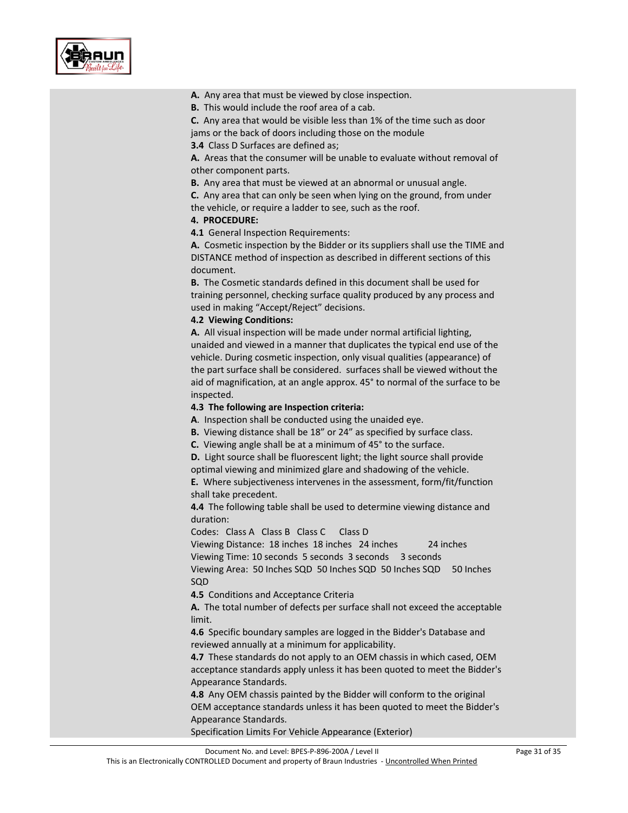

#### A. Any area that must be viewed by close inspection.

**B.** This would include the roof area of a cab.

**C.** Any area that would be visible less than 1% of the time such as door jams or the back of doors including those on the module

**3.4** Class D Surfaces are defined as;

**A.** Areas that the consumer will be unable to evaluate without removal of other component parts.

**B.** Any area that must be viewed at an abnormal or unusual angle.

**C.** Any area that can only be seen when lying on the ground, from under the vehicle, or require a ladder to see, such as the roof.

#### **4. PROCEDURE:**

**4.1 General Inspection Requirements:** 

**A.** Cosmetic inspection by the Bidder or its suppliers shall use the TIME and DISTANCE method of inspection as described in different sections of this document.

**B.** The Cosmetic standards defined in this document shall be used for training personnel, checking surface quality produced by any process and used in making "Accept/Reject" decisions.

#### **4.2 Viewing Conditions:**

**A.** All visual inspection will be made under normal artificial lighting, unaided and viewed in a manner that duplicates the typical end use of the vehicle. During cosmetic inspection, only visual qualities (appearance) of the part surface shall be considered. surfaces shall be viewed without the aid of magnification, at an angle approx. 45° to normal of the surface to be inspected.

#### **4.3 The following are Inspection criteria:**

**A**. Inspection shall be conducted using the unaided eye.

**B.** Viewing distance shall be 18" or 24" as specified by surface class.

**C.** Viewing angle shall be at a minimum of 45° to the surface.

**D.** Light source shall be fluorescent light; the light source shall provide optimal viewing and minimized glare and shadowing of the vehicle.

**E.** Where subjectiveness intervenes in the assessment, form/fit/function shall take precedent.

**4.4** The following table shall be used to determine viewing distance and duration:

Codes: Class A Class B Class C Class D

Viewing Distance: 18 inches 18 inches 24 inches 24 inches Viewing Time: 10 seconds 5 seconds 3 seconds 3 seconds

Viewing Area: 50 Inches SQD 50 Inches SQD 50 Inches SQD 50 Inches SQD

**4.5** Conditions and Acceptance Criteria

**A.** The total number of defects per surface shall not exceed the acceptable limit.

**4.6** Specific boundary samples are logged in the Bidder's Database and reviewed annually at a minimum for applicability.

**4.7** These standards do not apply to an OEM chassis in which cased, OEM acceptance standards apply unless it has been quoted to meet the Bidder's Appearance Standards.

**4.8** Any OEM chassis painted by the Bidder will conform to the original OEM acceptance standards unless it has been quoted to meet the Bidder's Appearance Standards.

Specification Limits For Vehicle Appearance (Exterior)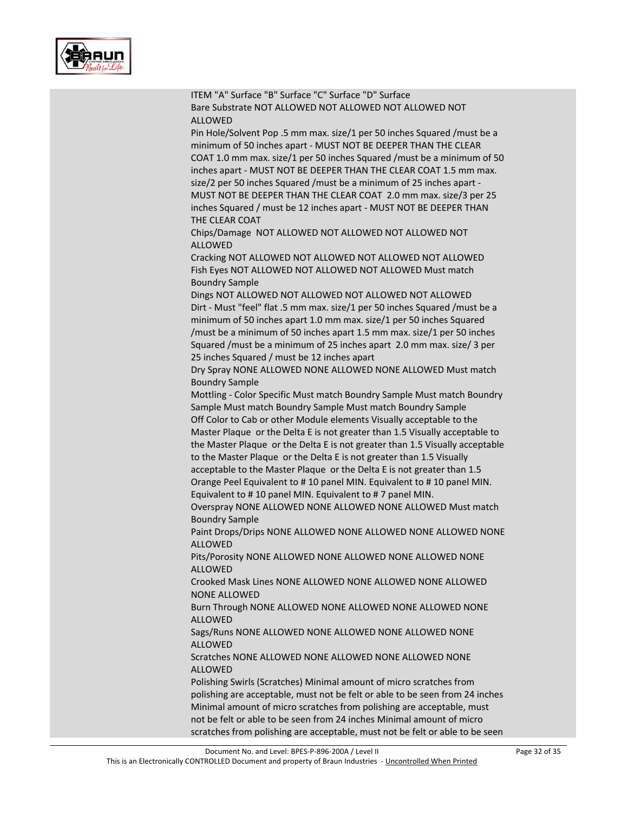

| ITEM "A" Surface "B" Surface "C" Surface "D" Surface<br>Bare Substrate NOT ALLOWED NOT ALLOWED NOT ALLOWED NOT<br><b>ALLOWED</b>                                                                                                                                                                                                                                                                                                                                                                                                |
|---------------------------------------------------------------------------------------------------------------------------------------------------------------------------------------------------------------------------------------------------------------------------------------------------------------------------------------------------------------------------------------------------------------------------------------------------------------------------------------------------------------------------------|
| Pin Hole/Solvent Pop .5 mm max. size/1 per 50 inches Squared / must be a<br>minimum of 50 inches apart - MUST NOT BE DEEPER THAN THE CLEAR<br>COAT 1.0 mm max. size/1 per 50 inches Squared / must be a minimum of 50<br>inches apart - MUST NOT BE DEEPER THAN THE CLEAR COAT 1.5 mm max.<br>size/2 per 50 inches Squared / must be a minimum of 25 inches apart -<br>MUST NOT BE DEEPER THAN THE CLEAR COAT 2.0 mm max. size/3 per 25<br>inches Squared / must be 12 inches apart - MUST NOT BE DEEPER THAN<br>THE CLEAR COAT |
| Chips/Damage NOT ALLOWED NOT ALLOWED NOT ALLOWED NOT<br><b>ALLOWED</b>                                                                                                                                                                                                                                                                                                                                                                                                                                                          |
| Cracking NOT ALLOWED NOT ALLOWED NOT ALLOWED NOT ALLOWED<br>Fish Eyes NOT ALLOWED NOT ALLOWED NOT ALLOWED Must match<br><b>Boundry Sample</b>                                                                                                                                                                                                                                                                                                                                                                                   |
| Dings NOT ALLOWED NOT ALLOWED NOT ALLOWED NOT ALLOWED<br>Dirt - Must "feel" flat .5 mm max. size/1 per 50 inches Squared / must be a<br>minimum of 50 inches apart 1.0 mm max. size/1 per 50 inches Squared<br>/must be a minimum of 50 inches apart 1.5 mm max. size/1 per 50 inches<br>Squared /must be a minimum of 25 inches apart 2.0 mm max. size/ 3 per<br>25 inches Squared / must be 12 inches apart                                                                                                                   |
| Dry Spray NONE ALLOWED NONE ALLOWED NONE ALLOWED Must match                                                                                                                                                                                                                                                                                                                                                                                                                                                                     |
| <b>Boundry Sample</b><br>Mottling - Color Specific Must match Boundry Sample Must match Boundry<br>Sample Must match Boundry Sample Must match Boundry Sample                                                                                                                                                                                                                                                                                                                                                                   |
| Off Color to Cab or other Module elements Visually acceptable to the<br>Master Plaque or the Delta E is not greater than 1.5 Visually acceptable to<br>the Master Plaque or the Delta E is not greater than 1.5 Visually acceptable<br>to the Master Plaque or the Delta E is not greater than 1.5 Visually                                                                                                                                                                                                                     |
| acceptable to the Master Plaque or the Delta E is not greater than 1.5<br>Orange Peel Equivalent to #10 panel MIN. Equivalent to #10 panel MIN.<br>Equivalent to #10 panel MIN. Equivalent to #7 panel MIN.                                                                                                                                                                                                                                                                                                                     |
| Overspray NONE ALLOWED NONE ALLOWED NONE ALLOWED Must match<br><b>Boundry Sample</b>                                                                                                                                                                                                                                                                                                                                                                                                                                            |
| Paint Drops/Drips NONE ALLOWED NONE ALLOWED NONE ALLOWED NONE<br>ALLOWED                                                                                                                                                                                                                                                                                                                                                                                                                                                        |
| Pits/Porosity NONE ALLOWED NONE ALLOWED NONE ALLOWED NONE<br><b>ALLOWED</b>                                                                                                                                                                                                                                                                                                                                                                                                                                                     |
| Crooked Mask Lines NONE ALLOWED NONE ALLOWED NONE ALLOWED<br><b>NONE ALLOWED</b>                                                                                                                                                                                                                                                                                                                                                                                                                                                |
| Burn Through NONE ALLOWED NONE ALLOWED NONE ALLOWED NONE<br><b>ALLOWED</b>                                                                                                                                                                                                                                                                                                                                                                                                                                                      |
| Sags/Runs NONE ALLOWED NONE ALLOWED NONE ALLOWED NONE<br><b>ALLOWED</b>                                                                                                                                                                                                                                                                                                                                                                                                                                                         |
| Scratches NONE ALLOWED NONE ALLOWED NONE ALLOWED NONE<br><b>ALLOWED</b>                                                                                                                                                                                                                                                                                                                                                                                                                                                         |
| Polishing Swirls (Scratches) Minimal amount of micro scratches from<br>polishing are acceptable, must not be felt or able to be seen from 24 inches<br>Minimal amount of micro scratches from polishing are acceptable, must<br>not be felt or able to be seen from 24 inches Minimal amount of micro                                                                                                                                                                                                                           |
| scratches from polishing are acceptable, must not be felt or able to be seen                                                                                                                                                                                                                                                                                                                                                                                                                                                    |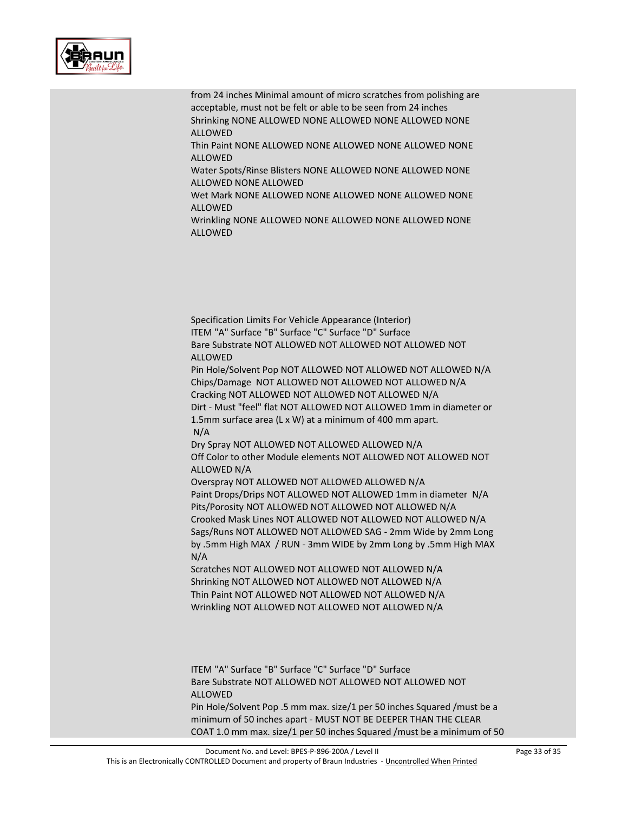

from 24 inches Minimal amount of micro scratches from polishing are acceptable, must not be felt or able to be seen from 24 inches Shrinking NONE ALLOWED NONE ALLOWED NONE ALLOWED NONE ALLOWED Thin Paint NONE ALLOWED NONE ALLOWED NONE ALLOWED NONE ALLOWED Water Spots/Rinse Blisters NONE ALLOWED NONE ALLOWED NONE ALLOWED NONE ALLOWED Wet Mark NONE ALLOWED NONE ALLOWED NONE ALLOWED NONE ALLOWED Wrinkling NONE ALLOWED NONE ALLOWED NONE ALLOWED NONE ALLOWED

Specification Limits For Vehicle Appearance (Interior)

ITEM "A" Surface "B" Surface "C" Surface "D" Surface Bare Substrate NOT ALLOWED NOT ALLOWED NOT ALLOWED NOT ALLOWED Pin Hole/Solvent Pop NOT ALLOWED NOT ALLOWED NOT ALLOWED N/A Chips/Damage NOT ALLOWED NOT ALLOWED NOT ALLOWED N/A Cracking NOT ALLOWED NOT ALLOWED NOT ALLOWED N/A Dirt - Must "feel" flat NOT ALLOWED NOT ALLOWED 1mm in diameter or 1.5mm surface area (L x W) at a minimum of 400 mm apart. N/A Dry Spray NOT ALLOWED NOT ALLOWED ALLOWED N/A Off Color to other Module elements NOT ALLOWED NOT ALLOWED NOT ALLOWED N/A Overspray NOT ALLOWED NOT ALLOWED ALLOWED N/A Paint Drops/Drips NOT ALLOWED NOT ALLOWED 1mm in diameter N/A Pits/Porosity NOT ALLOWED NOT ALLOWED NOT ALLOWED N/A Crooked Mask Lines NOT ALLOWED NOT ALLOWED NOT ALLOWED N/A Sags/Runs NOT ALLOWED NOT ALLOWED SAG - 2mm Wide by 2mm Long by .5mm High MAX / RUN - 3mm WIDE by 2mm Long by .5mm High MAX N/A

Scratches NOT ALLOWED NOT ALLOWED NOT ALLOWED N/A Shrinking NOT ALLOWED NOT ALLOWED NOT ALLOWED N/A Thin Paint NOT ALLOWED NOT ALLOWED NOT ALLOWED N/A Wrinkling NOT ALLOWED NOT ALLOWED NOT ALLOWED N/A

ITEM "A" Surface "B" Surface "C" Surface "D" Surface Bare Substrate NOT ALLOWED NOT ALLOWED NOT ALLOWED NOT ALLOWED Pin Hole/Solvent Pop .5 mm max. size/1 per 50 inches Squared /must be a minimum of 50 inches apart - MUST NOT BE DEEPER THAN THE CLEAR

COAT 1.0 mm max. size/1 per 50 inches Squared /must be a minimum of 50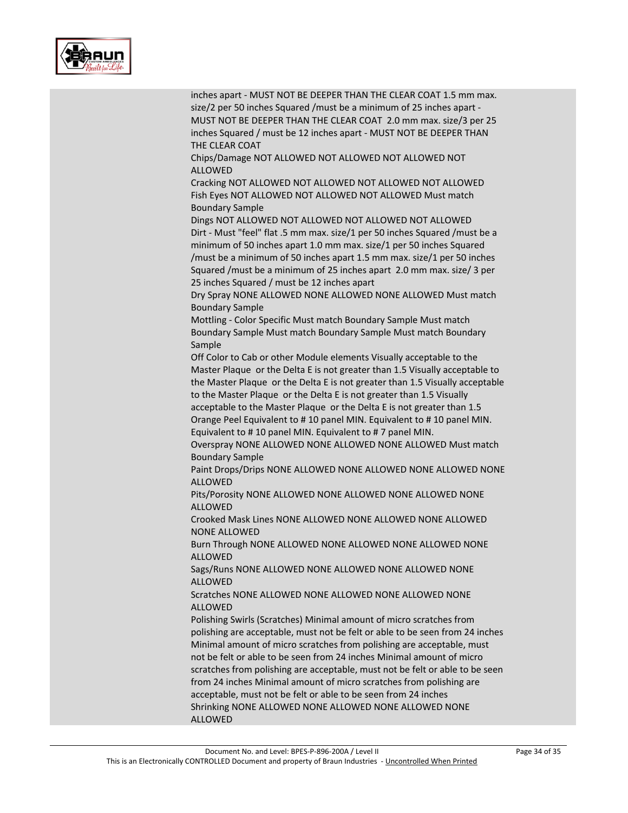

| inches apart - MUST NOT BE DEEPER THAN THE CLEAR COAT 1.5 mm max.<br>size/2 per 50 inches Squared / must be a minimum of 25 inches apart -<br>MUST NOT BE DEEPER THAN THE CLEAR COAT 2.0 mm max. size/3 per 25<br>inches Squared / must be 12 inches apart - MUST NOT BE DEEPER THAN<br>THE CLEAR COAT<br>Chips/Damage NOT ALLOWED NOT ALLOWED NOT ALLOWED NOT |
|----------------------------------------------------------------------------------------------------------------------------------------------------------------------------------------------------------------------------------------------------------------------------------------------------------------------------------------------------------------|
| <b>ALLOWED</b>                                                                                                                                                                                                                                                                                                                                                 |
| Cracking NOT ALLOWED NOT ALLOWED NOT ALLOWED NOT ALLOWED<br>Fish Eyes NOT ALLOWED NOT ALLOWED NOT ALLOWED Must match<br><b>Boundary Sample</b>                                                                                                                                                                                                                 |
| Dings NOT ALLOWED NOT ALLOWED NOT ALLOWED NOT ALLOWED                                                                                                                                                                                                                                                                                                          |
| Dirt - Must "feel" flat .5 mm max. size/1 per 50 inches Squared / must be a                                                                                                                                                                                                                                                                                    |
| minimum of 50 inches apart 1.0 mm max. size/1 per 50 inches Squared                                                                                                                                                                                                                                                                                            |
| /must be a minimum of 50 inches apart 1.5 mm max. size/1 per 50 inches                                                                                                                                                                                                                                                                                         |
| Squared /must be a minimum of 25 inches apart 2.0 mm max. size/ 3 per<br>25 inches Squared / must be 12 inches apart                                                                                                                                                                                                                                           |
| Dry Spray NONE ALLOWED NONE ALLOWED NONE ALLOWED Must match                                                                                                                                                                                                                                                                                                    |
| <b>Boundary Sample</b>                                                                                                                                                                                                                                                                                                                                         |
| Mottling - Color Specific Must match Boundary Sample Must match                                                                                                                                                                                                                                                                                                |
| Boundary Sample Must match Boundary Sample Must match Boundary<br>Sample                                                                                                                                                                                                                                                                                       |
| Off Color to Cab or other Module elements Visually acceptable to the                                                                                                                                                                                                                                                                                           |
| Master Plaque or the Delta E is not greater than 1.5 Visually acceptable to                                                                                                                                                                                                                                                                                    |
| the Master Plaque or the Delta E is not greater than 1.5 Visually acceptable                                                                                                                                                                                                                                                                                   |
| to the Master Plaque or the Delta E is not greater than 1.5 Visually                                                                                                                                                                                                                                                                                           |
| acceptable to the Master Plaque or the Delta E is not greater than 1.5<br>Orange Peel Equivalent to #10 panel MIN. Equivalent to #10 panel MIN.                                                                                                                                                                                                                |
| Equivalent to #10 panel MIN. Equivalent to #7 panel MIN.                                                                                                                                                                                                                                                                                                       |
| Overspray NONE ALLOWED NONE ALLOWED NONE ALLOWED Must match<br><b>Boundary Sample</b>                                                                                                                                                                                                                                                                          |
| Paint Drops/Drips NONE ALLOWED NONE ALLOWED NONE ALLOWED NONE<br><b>ALLOWED</b>                                                                                                                                                                                                                                                                                |
| Pits/Porosity NONE ALLOWED NONE ALLOWED NONE ALLOWED NONE<br><b>ALLOWED</b>                                                                                                                                                                                                                                                                                    |
| Crooked Mask Lines NONE ALLOWED NONE ALLOWED NONE ALLOWED<br>NONE ALLOWED                                                                                                                                                                                                                                                                                      |
| Burn Through NONE ALLOWED NONE ALLOWED NONE ALLOWED NONE<br><b>ALLOWED</b>                                                                                                                                                                                                                                                                                     |
| Sags/Runs NONE ALLOWED NONE ALLOWED NONE ALLOWED NONE<br><b>ALLOWED</b>                                                                                                                                                                                                                                                                                        |
| Scratches NONE ALLOWED NONE ALLOWED NONE ALLOWED NONE<br><b>ALLOWED</b>                                                                                                                                                                                                                                                                                        |
| Polishing Swirls (Scratches) Minimal amount of micro scratches from                                                                                                                                                                                                                                                                                            |
| polishing are acceptable, must not be felt or able to be seen from 24 inches                                                                                                                                                                                                                                                                                   |
| Minimal amount of micro scratches from polishing are acceptable, must<br>not be felt or able to be seen from 24 inches Minimal amount of micro                                                                                                                                                                                                                 |
| scratches from polishing are acceptable, must not be felt or able to be seen                                                                                                                                                                                                                                                                                   |
| from 24 inches Minimal amount of micro scratches from polishing are                                                                                                                                                                                                                                                                                            |
| acceptable, must not be felt or able to be seen from 24 inches                                                                                                                                                                                                                                                                                                 |
| Shrinking NONE ALLOWED NONE ALLOWED NONE ALLOWED NONE<br><b>ALLOWED</b>                                                                                                                                                                                                                                                                                        |
|                                                                                                                                                                                                                                                                                                                                                                |